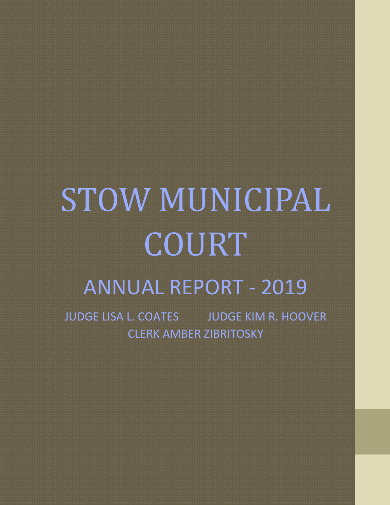# STOW MUNICIPAL COURT ANNUAL REPORT - 2019

JUDGE LISA L. COATES JUDGE KIM R. HOOVER CLERK AMBER ZIBRITOSKY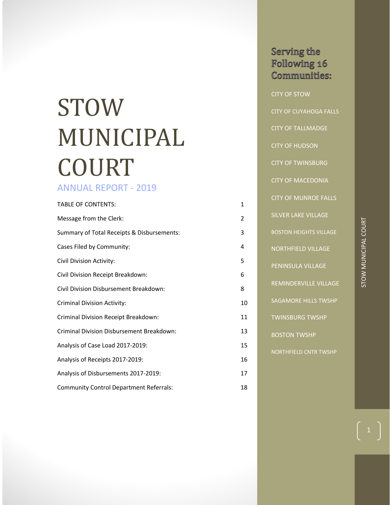## STOW MUNICIPAL COURT

## ANNUAL REPORT - 2019

| <b>TABLE OF CONTENTS:</b>                      | $\mathbf{1}$   |
|------------------------------------------------|----------------|
| Message from the Clerk:                        | $\overline{2}$ |
| Summary of Total Receipts & Disbursements:     | 3              |
| Cases Filed by Community:                      | 4              |
| Civil Division Activity:                       | 5              |
| Civil Division Receipt Breakdown:              | 6              |
| Civil Division Disbursement Breakdown:         | 8              |
| <b>Criminal Division Activity:</b>             | 10             |
| Criminal Division Receipt Breakdown:           | 11             |
| Criminal Division Disbursement Breakdown:      | 13             |
| Analysis of Case Load 2017-2019:               | 15             |
| Analysis of Receipts 2017-2019:                | 16             |
| Analysis of Disbursements 2017-2019:           | 17             |
| <b>Community Control Department Referrals:</b> | 18             |

## Serving the Following 16 Communities: CITY OF STOW CITY OF CUYAHOGA FALLS CITY OF TALLMADGE CITY OF HUDSON CITY OF TWINSBURG CITY OF MACEDONIA CITY OF MUNROE FALLS SILVER LAKE VILLAGE BOSTON HEIGHTS VILLAGE NORTHFIELD VILLAGE

BOSTON TWSHP

NORTHFIELD CNTR TWSHP

PENINSULA VILLAGE

REMINDERVILLE VILLAGE

SAGAMORE HILLS TWSHP

TWINSBURG TWSHP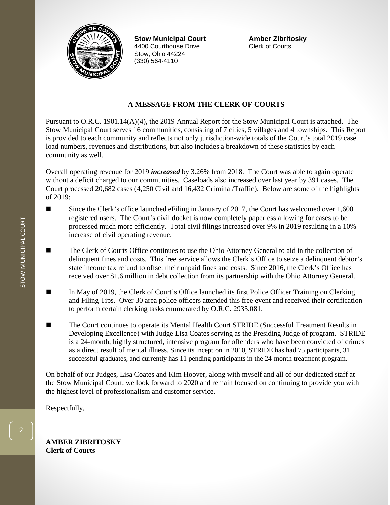

**Stow Municipal Court Amber Zibritosky** 4400 Courthouse Drive Stow, Ohio 44224 (330) 564-4110

#### **A MESSAGE FROM THE CLERK OF COURTS**

Pursuant to O.R.C. 1901.14(A)(4), the 2019 Annual Report for the Stow Municipal Court is attached. The Stow Municipal Court serves 16 communities, consisting of 7 cities, 5 villages and 4 townships. This Report is provided to each community and reflects not only jurisdiction-wide totals of the Court's total 2019 case load numbers, revenues and distributions, but also includes a breakdown of these statistics by each community as well.

Overall operating revenue for 2019 *increased* by 3.26% from 2018. The Court was able to again operate without a deficit charged to our communities. Caseloads also increased over last year by 391 cases. The Court processed 20,682 cases (4,250 Civil and 16,432 Criminal/Traffic). Below are some of the highlights of 2019:

- Since the Clerk's office launched eFiling in January of 2017, the Court has welcomed over 1,600 registered users. The Court's civil docket is now completely paperless allowing for cases to be processed much more efficiently. Total civil filings increased over 9% in 2019 resulting in a 10% increase of civil operating revenue.
- The Clerk of Courts Office continues to use the Ohio Attorney General to aid in the collection of delinquent fines and costs. This free service allows the Clerk's Office to seize a delinquent debtor's state income tax refund to offset their unpaid fines and costs. Since 2016, the Clerk's Office has received over \$1.6 million in debt collection from its partnership with the Ohio Attorney General.
- In May of 2019, the Clerk of Court's Office launched its first Police Officer Training on Clerking and Filing Tips. Over 30 area police officers attended this free event and received their certification to perform certain clerking tasks enumerated by O.R.C. 2935.081.
- The Court continues to operate its Mental Health Court STRIDE (Successful Treatment Results in Developing Excellence) with Judge Lisa Coates serving as the Presiding Judge of program. STRIDE is a 24-month, highly structured, intensive program for offenders who have been convicted of crimes as a direct result of mental illness. Since its inception in 2010, STRIDE has had 75 participants, 31 successful graduates, and currently has 11 pending participants in the 24-month treatment program.

On behalf of our Judges, Lisa Coates and Kim Hoover, along with myself and all of our dedicated staff at the Stow Municipal Court, we look forward to 2020 and remain focused on continuing to provide you with the highest level of professionalism and customer service.

Respectfully,

**AMBER ZIBRITOSKY Clerk of Courts**

2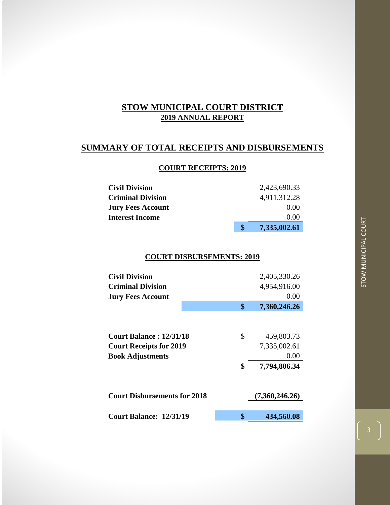## **SUMMARY OF TOTAL RECEIPTS AND DISBURSEMENTS**

#### **COURT RECEIPTS: 2019**

|                          | \$<br>7,335,002.61 |
|--------------------------|--------------------|
| <b>Interest Income</b>   | 0.00               |
| <b>Jury Fees Account</b> | 0.00               |
| <b>Criminal Division</b> | 4,911,312.28       |
| <b>Civil Division</b>    | 2,423,690.33       |

#### **COURT DISBURSEMENTS: 2019**

| <b>Civil Division</b>               | 2,405,330.26       |
|-------------------------------------|--------------------|
| <b>Criminal Division</b>            | 4,954,916.00       |
| <b>Jury Fees Account</b>            | 0.00               |
|                                     | \$<br>7,360,246.26 |
|                                     |                    |
|                                     |                    |
| <b>Court Balance: 12/31/18</b>      | \$<br>459,803.73   |
| <b>Court Receipts for 2019</b>      | 7,335,002.61       |
| <b>Book Adjustments</b>             | 0.00               |
|                                     | \$<br>7,794,806.34 |
|                                     |                    |
| <b>Court Disbursements for 2018</b> | (7,360,246.26)     |
|                                     |                    |
| Court Balance: 12/31/19             | \$<br>434,560.08   |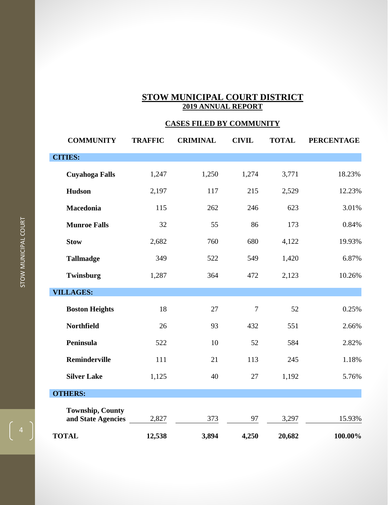## **CASES FILED BY COMMUNITY**

| <b>COMMUNITY</b>                              | <b>TRAFFIC</b> | <b>CRIMINAL</b> | <b>CIVIL</b>   | <b>TOTAL</b> | <b>PERCENTAGE</b> |
|-----------------------------------------------|----------------|-----------------|----------------|--------------|-------------------|
| <b>CITIES:</b>                                |                |                 |                |              |                   |
| <b>Cuyahoga Falls</b>                         | 1,247          | 1,250           | 1,274          | 3,771        | 18.23%            |
| Hudson                                        | 2,197          | 117             | 215            | 2,529        | 12.23%            |
| Macedonia                                     | 115            | 262             | 246            | 623          | 3.01%             |
| <b>Munroe Falls</b>                           | 32             | 55              | 86             | 173          | 0.84%             |
| <b>Stow</b>                                   | 2,682          | 760             | 680            | 4,122        | 19.93%            |
| <b>Tallmadge</b>                              | 349            | 522             | 549            | 1,420        | 6.87%             |
| Twinsburg                                     | 1,287          | 364             | 472            | 2,123        | 10.26%            |
| <b>VILLAGES:</b>                              |                |                 |                |              |                   |
| <b>Boston Heights</b>                         | 18             | 27              | $\overline{7}$ | 52           | 0.25%             |
| <b>Northfield</b>                             | 26             | 93              | 432            | 551          | 2.66%             |
| Peninsula                                     | 522            | 10              | 52             | 584          | 2.82%             |
| Reminderville                                 | 111            | 21              | 113            | 245          | 1.18%             |
| <b>Silver Lake</b>                            | 1,125          | 40              | 27             | 1,192        | 5.76%             |
| <b>OTHERS:</b>                                |                |                 |                |              |                   |
| <b>Township, County</b><br>and State Agencies | 2,827          | 373             | 97             | 3,297        | 15.93%            |
| <b>TOTAL</b>                                  | 12,538         | 3,894           | 4,250          | 20,682       | 100.00%           |

 $\left( \begin{array}{c} 4 \end{array} \right)$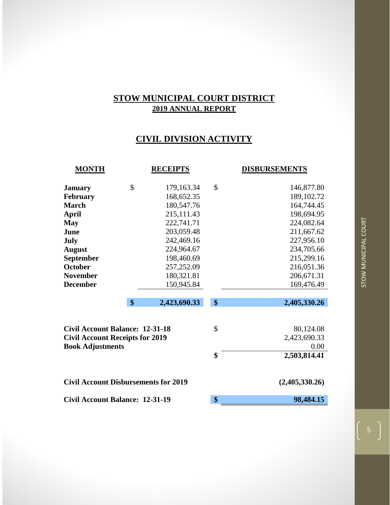## **CIVIL DIVISION ACTIVITY**

| <b>MONTH</b>                                | <b>RECEIPTS</b>    |               | <b>DISBURSEMENTS</b> |
|---------------------------------------------|--------------------|---------------|----------------------|
| <b>January</b>                              | \$<br>179,163.34   | $\mathcal{S}$ | 146,877.80           |
| February                                    | 168,652.35         |               | 189, 102. 72         |
| <b>March</b>                                | 180,547.76         |               | 164,744.45           |
| <b>April</b>                                | 215,111.43         |               | 198,694.95           |
| <b>May</b>                                  | 222,741.71         |               | 224,082.64           |
| June                                        | 203,059.48         |               | 211,667.62           |
| July                                        | 242,469.16         |               | 227,956.10           |
| <b>August</b>                               | 224,964.67         |               | 234,705.66           |
| September                                   | 198,460.69         |               | 215,299.16           |
| <b>October</b>                              | 257,252.09         |               | 216,051.36           |
| <b>November</b>                             | 180,321.81         |               | 206,671.31           |
| <b>December</b>                             | 150,945.84         |               | 169,476.49           |
|                                             | \$<br>2,423,690.33 | \$            | 2,405,330.26         |
| <b>Civil Account Balance: 12-31-18</b>      |                    | \$            | 80,124.08            |
| <b>Civil Account Receipts for 2019</b>      |                    |               | 2,423,690.33<br>0.00 |
| <b>Book Adjustments</b>                     |                    | \$            | 2,503,814.41         |
|                                             |                    |               |                      |
| <b>Civil Account Disbursements for 2019</b> |                    |               | (2,405,330.26)       |
| <b>Civil Account Balance: 12-31-19</b>      |                    | \$            | 98,484.15            |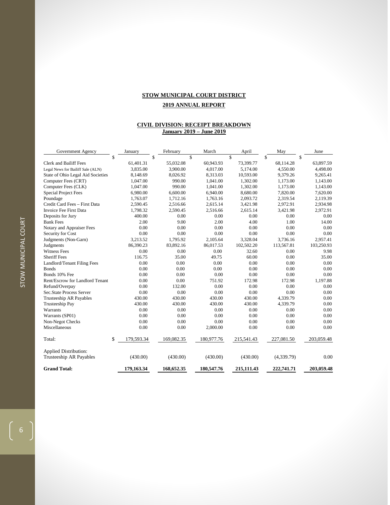#### **CIVIL DIVISION: RECEIPT BREAKDOWN January 2019 – June 2019**

| Government Agency                 | January          | February   | March      | April        | May        | June       |
|-----------------------------------|------------------|------------|------------|--------------|------------|------------|
|                                   | \$               | \$         | \$         | $\mathbb{S}$ | \$         | \$         |
| <b>Clerk and Bailiff Fees</b>     | 61,401.31        | 55,032.08  | 60,943.93  | 73,399.77    | 68,114.28  | 63,897.59  |
| Legal News for Bailiff Sale (ALN) | 3,835.00         | 3,900.00   | 4,017.00   | 5,174.00     | 4,550.00   | 4,498.00   |
| State of Ohio Legal Aid Societies | 8,148.69         | 8,026.92   | 8,313.03   | 10,593.00    | 9,379.26   | 9,265.41   |
| Computer Fees (CRT)               | 1,047.00         | 990.00     | 1.041.00   | 1,302.00     | 1,173.00   | 1,143.00   |
| Computer Fees (CLK)               | 1,047.00         | 990.00     | 1,041.00   | 1,302.00     | 1,173.00   | 1,143.00   |
| <b>Special Project Fees</b>       | 6,980.00         | 6,600.00   | 6,940.00   | 8,680.00     | 7,820.00   | 7,620.00   |
| Poundage                          | 1,763.07         | 1,712.16   | 1,763.16   | 2,093.72     | 2,319.54   | 2,119.39   |
| Credit Card Fees - First Data     | 2,590.45         | 2,516.66   | 2,615.14   | 3,421.98     | 2,972.91   | 2,934.98   |
| <b>Invoice Fee First Data</b>     | 1,798.32         | 2,590.45   | 2,516.66   | 2,615.14     | 3,421.98   | 2,972.91   |
| Deposits for Jury                 | 400.00           | 0.00       | 0.00       | 0.00         | 0.00       | 0.00       |
| <b>Bank Fees</b>                  | 2.00             | 9.00       | 2.00       | 4.00         | 1.00       | 14.00      |
| Notary and Appraiser Fees         | 0.00             | 0.00       | 0.00       | 0.00         | 0.00       | 0.00       |
| Security for Cost                 | 0.00             | 0.00       | 0.00       | 0.00         | 0.00       | 0.00       |
| Judgments (Non-Garn)              | 3,213.52         | 1,795.92   | 2,105.64   | 3,328.04     | 3,736.16   | 2,957.41   |
| Judgments                         | 86,390.23        | 83,892.16  | 86,017.53  | 102,502.20   | 113,567.81 | 103,250.93 |
| <b>Witness Fees</b>               | 0.00             | 0.00       | 0.00       | 32.60        | 0.00       | 9.98       |
| <b>Sheriff Fees</b>               | 116.75           | 35.00      | 49.75      | 60.00        | 0.00       | 35.00      |
| Landlord/Tenant Filing Fees       | 0.00             | 0.00       | 0.00       | 0.00         | 0.00       | 0.00       |
| <b>Bonds</b>                      | 0.00             | 0.00       | 0.00       | 0.00         | 0.00       | 0.00       |
| Bonds 10% Fee                     | 0.00             | 0.00       | 0.00       | 0.00         | 0.00       | 0.00       |
| Rent/Escrow for Landlord Tenant   | 0.00             | 0.00       | 751.92     | 172.98       | 172.98     | 1,197.88   |
| Refund/Overpay                    | 0.00             | 132.00     | 0.00       | 0.00         | 0.00       | 0.00       |
| Sec.State Process Server          | 0.00             | 0.00       | 0.00       | 0.00         | 0.00       | 0.00       |
| <b>Trusteeship AR Payables</b>    | 430.00           | 430.00     | 430.00     | 430.00       | 4,339.79   | 0.00       |
| <b>Trusteeship Pay</b>            | 430.00           | 430.00     | 430.00     | 430.00       | 4,339.79   | 0.00       |
| Warrants                          | 0.00             | 0.00       | 0.00       | 0.00         | 0.00       | 0.00       |
| Warrants (SP01)                   | 0.00             | 0.00       | 0.00       | 0.00         | 0.00       | 0.00       |
| Non-Negot Checks                  | 0.00             | 0.00       | 0.00       | 0.00         | 0.00       | 0.00       |
| Miscellaneous                     | 0.00             | 0.00       | 2,000.00   | 0.00         | 0.00       | 0.00       |
| Total:                            | \$<br>179,593.34 | 169,082.35 | 180,977.76 | 215,541.43   | 227,081.50 | 203,059.48 |
| <b>Applied Distribution:</b>      |                  |            |            |              |            |            |
| Trusteeship AR Payables           | (430.00)         | (430.00)   | (430.00)   | (430.00)     | (4,339.79) | 0.00       |
| <b>Grand Total:</b>               | 179,163.34       | 168,652.35 | 180,547.76 | 215,111.43   | 222,741.71 | 203,059.48 |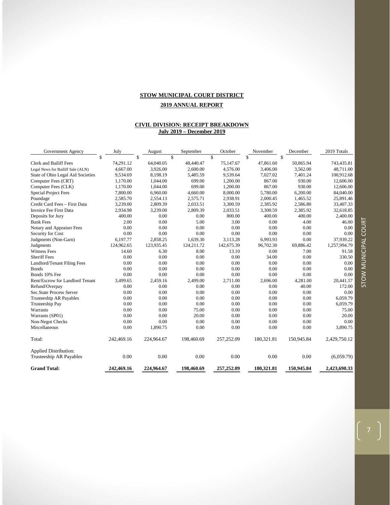#### **STOW MUNICIPAL COURT DISTRICT**

#### **2019 ANNUAL REPORT**

#### **CIVIL DIVISION: RECEIPT BREAKDOWN July 2019 – December 2019**

| Government Agency                 | July       | August       | September  | October       | November   | December      | 2019 Totals  |
|-----------------------------------|------------|--------------|------------|---------------|------------|---------------|--------------|
|                                   | \$         | $\mathbb{S}$ | \$         | $\mathcal{S}$ | \$         | $\mathcal{S}$ |              |
| <b>Clerk and Bailiff Fees</b>     | 74,291.12  | 64,040.05    | 48,440.47  | 75,147.67     | 47,861.60  | 50,865.94     | 743,435.81   |
| Legal News for Bailiff Sale (ALN) | 4,667.00   | 3,926.00     | 2,600.00   | 4,576.00      | 3,406.00   | 3,562.00      | 48,711.00    |
| State of Ohio Legal Aid Societies | 9,534.69   | 8,198.19     | 5,485.59   | 9,539.64      | 7,027.02   | 7,401.24      | 100,912.68   |
| Computer Fees (CRT)               | 1,170.00   | 1,044.00     | 699.00     | 1,200.00      | 867.00     | 930.00        | 12,606.00    |
| Computer Fees (CLK)               | 1,170.00   | 1,044.00     | 699.00     | 1,200.00      | 867.00     | 930.00        | 12,606.00    |
| <b>Special Project Fees</b>       | 7,800.00   | 6,960.00     | 4,660.00   | 8,000.00      | 5,780.00   | 6,200.00      | 84,040.00    |
| Poundage                          | 2,585.70   | 2,554.13     | 2,575.71   | 2,938.91      | 2,000.45   | 1,465.52      | 25,891.46    |
| Credit Card Fees - First Data     | 3,239.00   | 2,809.39     | 2,033.51   | 3,300.59      | 2,385.92   | 2,586.80      | 33,407.33    |
| Invoice Fee First Data            | 2,934.98   | 3.239.00     | 2,809.39   | 2.033.51      | 3.300.59   | 2,385.92      | 32,618.85    |
| Deposits for Jury                 | 400.00     | 0.00         | 0.00       | 800.00        | 400.00     | 400.00        | 2,400.00     |
| <b>Bank Fees</b>                  | 2.00       | 0.00         | 5.00       | 3.00          | 0.00       | 4.00          | 46.00        |
| Notary and Appraiser Fees         | 0.00       | 0.00         | 0.00       | 0.00          | 0.00       | 0.00          | 0.00         |
| Security for Cost                 | 0.00       | 0.00         | 0.00       | 0.00          | 0.00       | 0.00          | 0.00         |
| Judgments (Non-Garn)              | 6,197.77   | 2,858.25     | 1,639.30   | 3,113.28      | 6,993.93   | 0.00          | 37,939.22    |
| Judgments                         | 124,962.65 | 123,935.45   | 124,211.72 | 142,675.39    | 96,702.30  | 69,886.42     | 1,257,994.79 |
| Witness Fees                      | 14.60      | 6.30         | 8.00       | 13.10         | 0.00       | 7.00          | 91.58        |
| <b>Sheriff Fees</b>               | 0.00       | 0.00         | 0.00       | 0.00          | 34.00      | 0.00          | 330.50       |
| Landlord/Tenant Filing Fees       | 0.00       | 0.00         | 0.00       | 0.00          | 0.00       | 0.00          | 0.00         |
| <b>Bonds</b>                      | 0.00       | 0.00         | 0.00       | 0.00          | 0.00       | 0.00          | 0.00         |
| Bonds 10% Fee                     | 0.00       | 0.00         | 0.00       | 0.00          | 0.00       | 0.00          | 0.00         |
| Rent/Escrow for Landlord Tenant   | 3,499.65   | 2,459.16     | 2,499.00   | 2,711.00      | 2,696.00   | 4,281.00      | 20,441.57    |
| Refund/Overpay                    | 0.00       | 0.00         | 0.00       | 0.00          | 0.00       | 40.00         | 172.00       |
| Sec.State Process Server          | 0.00       | 0.00         | 0.00       | 0.00          | 0.00       | 0.00          | 0.00         |
| Trusteeship AR Payables           | 0.00       | 0.00         | 0.00       | 0.00          | 0.00       | 0.00          | 6,059.79     |
| Trusteeship Pay                   | 0.00       | 0.00         | 0.00       | 0.00          | 0.00       | 0.00          | 6,059.79     |
| Warrants                          | 0.00       | 0.00         | 75.00      | 0.00          | 0.00       | 0.00          | 75.00        |
| Warrants (SP01)                   | 0.00       | 0.00         | 20.00      | 0.00          | 0.00       | 0.00          | 20.00        |
| Non-Negot Checks                  | 0.00       | 0.00         | 0.00       | 0.00          | 0.00       | 0.00          | 0.00         |
| Miscellaneous                     | 0.00       | 1,890.75     | 0.00       | 0.00          | 0.00       | 0.00          | 3,890.75     |
| Total:                            | 242,469.16 | 224,964.67   | 198,460.69 | 257, 252.09   | 180,321.81 | 150,945.84    | 2,429,750.12 |
| <b>Applied Distribution:</b>      |            |              |            |               |            |               |              |
| Trusteeship AR Payables           | 0.00       | 0.00         | 0.00       | 0.00          | 0.00       | 0.00          | (6,059.79)   |
| <b>Grand Total:</b>               | 242,469.16 | 224,964.67   | 198,460.69 | 257,252.09    | 180,321.81 | 150,945.84    | 2,423,690.33 |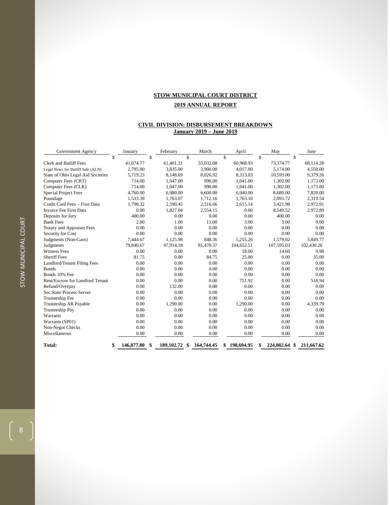#### **CIVIL DIVISION: DISBURSEMENT BREAKDOWN January 2019 – June 2019**

| Government Agency                 | January          |    | February        | March      | April        | May                 | June       |
|-----------------------------------|------------------|----|-----------------|------------|--------------|---------------------|------------|
|                                   | \$               | \$ | $\mathcal{S}$   |            | \$           | \$                  | \$         |
| <b>Clerk and Bailiff Fees</b>     | 41,074.77        |    | 61,401.31       | 55,032.08  | 60,968.93    | 73,374.77           | 68,114.28  |
| Legal News for Bailiff Sale (ALN) | 2,795.00         |    | 3,835.00        | 3,900.00   | 4,017.00     | 5,174.00            | 4,550.00   |
| State of Ohio Legal Aid Societies | 5,719.23         |    | 8.148.69        | 8.026.92   | 8.313.03     | 10.593.00           | 9,379.26   |
| Computer Fees (CRT)               | 714.00           |    | 1,047.00        | 990.00     | 1,041.00     | 1,302.00            | 1,173.00   |
| Computer Fees (CLK)               | 714.00           |    | 1,047.00        | 990.00     | 1,041.00     | 1,302.00            | 1,173.00   |
| <b>Special Project Fees</b>       | 4,760.00         |    | 6,980.00        | 6,600.00   | 6,940.00     | 8,680.00            | 7,820.00   |
| Poundage                          | 1,533.39         |    | 1,763.07        | 1,712.16   | 1,763.16     | 2,093.72            | 2,319.54   |
| Credit Card Fees - First Data     | 1,798.32         |    | 2,590.45        | 2,516.66   | 2,615.14     | 3,421.98            | 2,972.91   |
| <b>Invoice Fee First Data</b>     | 0.00             |    | 1,827.04        | 2.554.15   | 0.00         | 8.549.52            | 2,972.89   |
| Deposits for Jury                 | 400.00           |    | 0.00            | 0.00       | 0.00         | 400.00              | 0.00       |
| <b>Bank Fees</b>                  | 2.00             |    | 1.00            | 11.00      | 3.00         | 3.00                | 9.00       |
| Notary and Appraiser Fees         | 0.00             |    | 0.00            | 0.00       | 0.00         | 0.00                | 0.00       |
| Security for Cost                 | 0.00             |    | 0.00            | 0.00       | 0.00         | 0.00                | 0.00       |
| Judgments (Non-Garn)              | 7.444.67         |    | 1,125.98        | 848.36     | 5,255.26     | 1,579.02            | 3,849.77   |
| Judgments                         | 79,840.67        |    | 97,914.18       | 81,478.37  | 104,652.51   | 107,595.03          | 102,430.26 |
| <b>Witness Fees</b>               | 0.00             |    | 0.00            | 0.00       | 18.00        | 14.60               | 9.98       |
| <b>Sheriff Fees</b>               | 81.75            |    | 0.00            | 84.75      | 25.00        | 0.00                | 35.00      |
| Landlord/Tenant Filing Fees       | 0.00             |    | 0.00            | 0.00       | 0.00         | 0.00                | 0.00       |
| <b>Bonds</b>                      | 0.00             |    | 0.00            | 0.00       | 0.00         | 0.00                | 0.00       |
| Bonds 10% Fee                     | 0.00             |    | 0.00            | 0.00       | 0.00         | 0.00                | 0.00       |
| Rent/Escrow for Landlord Tenant   | 0.00             |    | 0.00            | 0.00       | 751.92       | 0.00                | 518.94     |
| Refund/Overpay                    | 0.00             |    | 132.00          | 0.00       | 0.00         | 0.00                | 0.00       |
| Sec.State Process Server          | 0.00             |    | 0.00            | 0.00       | 0.00         | 0.00                | 0.00       |
| Trusteeship Fee                   | 0.00             |    | 0.00            | 0.00       | 0.00         | 0.00                | 0.00       |
| Trusteeship AR Payable            | 0.00             |    | 1,290.00        | 0.00       | 1,290.00     | 0.00                | 4,339.79   |
| <b>Trusteeship Pay</b>            | 0.00             |    | 0.00            | 0.00       | 0.00         | 0.00                | 0.00       |
| Warrants                          | 0.00             |    | 0.00            | 0.00       | 0.00         | 0.00                | 0.00       |
| Warrants (SP01)                   | 0.00             |    | 0.00            | 0.00       | 0.00         | 0.00                | 0.00       |
| Non-Negot Checks                  | 0.00             |    | 0.00            | 0.00       | 0.00         | 0.00                | 0.00       |
| Miscellaneous                     | 0.00             |    | 0.00            | 0.00       | 0.00         | 0.00                | 0.00       |
| Total:                            | \$<br>146,877.80 | -S | 189, 102. 72 \$ | 164,744.45 | \$198,694.95 | \$<br>224,082.64 \$ | 211,667.62 |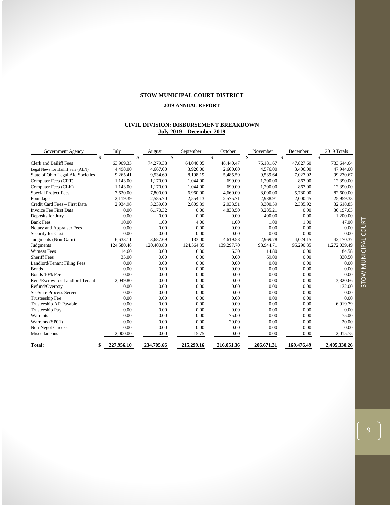#### **STOW MUNICIPAL COURT DISTRICT**

#### **2019 ANNUAL REPORT**

#### **CIVIL DIVISION: DISBURSEMENT BREAKDOWN July 2019 – December 2019**

| Government Agency                 | July       | August     | September  | October      | November   | December   | 2019 Totals  |
|-----------------------------------|------------|------------|------------|--------------|------------|------------|--------------|
| \$                                |            | \$         | \$         | $\mathbb{S}$ | \$         | \$         | \$           |
| <b>Clerk and Bailiff Fees</b>     | 63.909.33  | 74,279.38  | 64,040.05  | 48,440.47    | 75,181.67  | 47,827.60  | 733,644.64   |
| Legal News for Bailiff Sale (ALN) | 4,498.00   | 4,667.00   | 3,926.00   | 2,600.00     | 4,576.00   | 3,406.00   | 47,944.00    |
| State of Ohio Legal Aid Societies | 9,265.41   | 9.534.69   | 8.198.19   | 5.485.59     | 9.539.64   | 7.027.02   | 99,230.67    |
| Computer Fees (CRT)               | 1,143.00   | 1,170.00   | 1,044.00   | 699.00       | 1,200.00   | 867.00     | 12,390.00    |
| Computer Fees (CLK)               | 1,143.00   | 1,170.00   | 1.044.00   | 699.00       | 1,200.00   | 867.00     | 12,390.00    |
| <b>Special Project Fees</b>       | 7,620.00   | 7,800.00   | 6,960.00   | 4,660.00     | 8,000.00   | 5,780.00   | 82,600.00    |
| Poundage                          | 2,119.39   | 2,585.70   | 2,554.13   | 2,575.71     | 2,938.91   | 2,000.45   | 25,959.33    |
| Credit Card Fees - First Data     | 2,934.98   | 3,239.00   | 2,809.39   | 2,033.51     | 3,300.59   | 2,385.92   | 32,618.85    |
| Invoice Fee First Data            | 0.00       | 6,170.32   | 0.00       | 4.838.50     | 3.285.21   | 0.00       | 30,197.63    |
| Deposits for Jury                 | 0.00       | 0.00       | 0.00       | 0.00         | 400.00     | 0.00       | 1,200.00     |
| <b>Bank Fees</b>                  | 10.00      | 1.00       | 4.00       | 1.00         | 1.00       | 1.00       | 47.00        |
| Notary and Appraiser Fees         | 0.00       | 0.00       | 0.00       | 0.00         | 0.00       | 0.00       | 0.00         |
| Security for Cost                 | 0.00       | 0.00       | 0.00       | 0.00         | 0.00       | 0.00       | 0.00         |
| Judgments (Non-Garn)              | 6,633.11   | 3,687.69   | 133.00     | 4,619.58     | 2,969.78   | 4,024.15   | 42,170.37    |
| Judgments                         | 124,580.48 | 120,400.88 | 124,564.35 | 139,297.70   | 93,944.71  | 95,290.35  | 1,272,039.49 |
| <b>Witness Fees</b>               | 14.60      | 0.00       | 6.30       | 6.30         | 14.80      | 0.00       | 84.58        |
| <b>Sheriff Fees</b>               | 35.00      | 0.00       | 0.00       | 0.00         | 69.00      | 0.00       | 330.50       |
| Landlord/Tenant Filing Fees       | 0.00       | 0.00       | 0.00       | 0.00         | 0.00       | 0.00       | 0.00         |
| <b>Bonds</b>                      | 0.00       | 0.00       | 0.00       | 0.00         | 0.00       | 0.00       | 0.00         |
| Bonds 10% Fee                     | 0.00       | 0.00       | 0.00       | 0.00         | 0.00       | 0.00       | 0.00         |
| Rent/Escrow for Landlord Tenant   | 2,049.80   | 0.00       | 0.00       | 0.00         | 0.00       | 0.00       | 3,320.66     |
| Refund/Overpay                    | 0.00       | 0.00       | 0.00       | 0.00         | 0.00       | 0.00       | 132.00       |
| <b>SecState Process Server</b>    | 0.00       | 0.00       | 0.00       | 0.00         | 0.00       | 0.00       | 0.00         |
| Trusteeship Fee                   | 0.00       | 0.00       | 0.00       | 0.00         | 0.00       | 0.00       | 0.00         |
| Trusteeship AR Payable            | 0.00       | 0.00       | 0.00       | 0.00         | 0.00       | 0.00       | 6,919.79     |
| Trusteeship Pay                   | 0.00       | 0.00       | 0.00       | 0.00         | 0.00       | 0.00       | 0.00         |
| Warrants                          | 0.00       | 0.00       | 0.00       | 75.00        | 0.00       | 0.00       | 75.00        |
| Warrants (SP01)                   | 0.00       | 0.00       | 0.00       | 20.00        | 0.00       | 0.00       | 20.00        |
| Non-Negot Checks                  | 0.00       | 0.00       | 0.00       | 0.00         | 0.00       | 0.00       | 0.00         |
| Miscellaneous                     | 2,000.00   | 0.00       | 15.75      | 0.00         | 0.00       | 0.00       | 2,015.75     |
| Total:                            | 227,956.10 | 234,705.66 | 215,299.16 | 216,051.36   | 206.671.31 | 169,476.49 | 2.405.330.26 |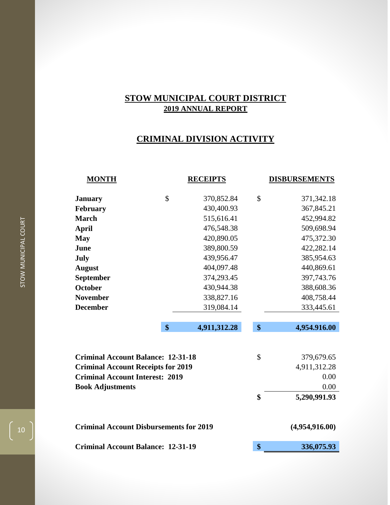## **CRIMINAL DIVISION ACTIVITY**

| <b>MONTH</b>                                   |                                           | <b>RECEIPTS</b> |               | <b>DISBURSEMENTS</b> |  |  |
|------------------------------------------------|-------------------------------------------|-----------------|---------------|----------------------|--|--|
| <b>January</b>                                 | \$                                        | 370,852.84      | \$            | 371,342.18           |  |  |
| <b>February</b>                                |                                           | 430,400.93      |               | 367,845.21           |  |  |
| <b>March</b>                                   |                                           | 515,616.41      |               | 452,994.82           |  |  |
| <b>April</b>                                   |                                           | 476,548.38      |               | 509,698.94           |  |  |
| <b>May</b>                                     |                                           | 420,890.05      |               | 475,372.30           |  |  |
| June                                           |                                           | 389,800.59      |               | 422,282.14           |  |  |
| July                                           |                                           | 439,956.47      |               | 385,954.63           |  |  |
| <b>August</b>                                  |                                           | 404,097.48      |               | 440,869.61           |  |  |
| September                                      |                                           | 374,293.45      |               | 397,743.76           |  |  |
| <b>October</b>                                 |                                           | 430,944.38      |               | 388,608.36           |  |  |
| <b>November</b>                                |                                           | 338,827.16      |               | 408,758.44           |  |  |
| <b>December</b>                                |                                           | 319,084.14      |               | 333,445.61           |  |  |
|                                                | \$                                        | 4,911,312.28    | \$            | 4,954.916.00         |  |  |
|                                                |                                           |                 |               |                      |  |  |
| <b>Criminal Account Balance: 12-31-18</b>      |                                           |                 | $\mathsf{\$}$ | 379,679.65           |  |  |
| <b>Criminal Account Receipts for 2019</b>      |                                           |                 |               | 4,911,312.28         |  |  |
| <b>Criminal Account Interest: 2019</b>         |                                           |                 |               | 0.00                 |  |  |
| <b>Book Adjustments</b>                        |                                           |                 |               | 0.00                 |  |  |
|                                                |                                           |                 | \$            | 5,290,991.93         |  |  |
| <b>Criminal Account Disbursements for 2019</b> |                                           |                 |               | (4,954,916.00)       |  |  |
|                                                | <b>Criminal Account Balance: 12-31-19</b> |                 |               |                      |  |  |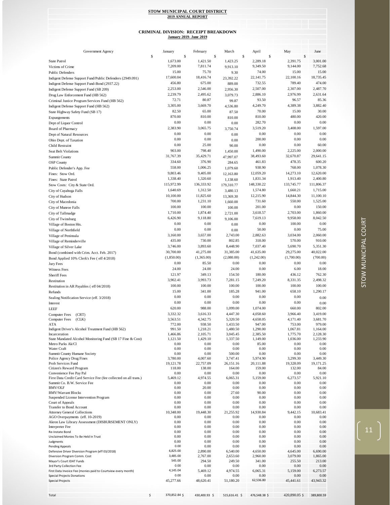#### **January 2019- June 2019 CRIMINAL DIVISION: RECEIPT BREAKDOWN**

| Government Agency                                                                           | January              | February             | March                |              | April                | May                  | June                 |
|---------------------------------------------------------------------------------------------|----------------------|----------------------|----------------------|--------------|----------------------|----------------------|----------------------|
|                                                                                             | \$                   | \$                   | \$                   | $\mathbb{S}$ |                      | \$                   | \$                   |
| <b>State Patrol</b>                                                                         | 1,673.00             | 1,421.50             | 1,423.25             |              | 2,289.18             | 2,391.75             | 3,001.00             |
| Victims of Crime                                                                            | 7,209.00             | 7,811.74             | 9,913.10             |              | 9,349.50             | 9,144.00             | 7,752.68             |
| <b>Public Defenders</b>                                                                     | 15.00                | 75.70                | 9.30                 |              | 74.00                | 15.00                | 15.00                |
| Indigent Defense Support Fund/Public Defenders (2949.091)                                   | 17,600.04            | 18,416.74            | 23,392.22            |              | 22,141.75            | 22,100.16            | 18,735.45            |
| Indigent Defense Support Fund-Bond (2937.22)                                                | 456.80               | 675.00               | 889.00               |              | 732.55               | 789.40               | 474.00               |
| Indigent Defense Support Fund (SB 209)                                                      | 2,253.00             | 2,546.00             | 2,956.30             |              | 2,507.00             | 2,307.00             | 2,487.70             |
| Drug Law Enforcement Fund (HB 562)                                                          | 2,239.79             | 2,495.62             | 3,079.73             |              | 2,886.10             | 2,976.99             | 2,631.64             |
| Criminal Justice Program Services Fund (HB 562)                                             | 72.71                | 80.87                | 99.87                |              | 93.50                | 96.57                | 85.36                |
| Indigent Defense Support Fund (HB 562)                                                      | 3,305.00             | 3,669.70             | 4,536.80             |              | 4,249.70             | 4,389.38             | 3,882.40             |
| State Highway Safety Fund (SB 17)                                                           | 82.50                | 65.00                | 87.50                |              | 70.00                | 15.00                | 30.00                |
| Expungements                                                                                | 870.00               | 810.00               | 810.00               |              | 810.00               | 480.00               | 420.00               |
| Dept of Liquor Control                                                                      | 0.00                 | 0.00                 | 0.00                 |              | 282.70               | 0.00                 | 0.00                 |
| Board of Pharmacy                                                                           | 2,383.90             | 3,065.75             | 3,750.74             |              | 3,519.20             | 3,408.00             | 1,597.00             |
| Dept of Natural Resources                                                                   | 0.00                 | 0.00                 | 0.00                 |              | 0.00                 | 0.00                 | 0.00                 |
| Ohio Dept. of Taxation                                                                      | 0.00                 | 0.00                 | 0.00                 |              | 200.00               | 0.00                 | 0.00                 |
| Child Restraint                                                                             | 0.00                 | 25.00                | 90.00                |              | 0.00                 | 0.00                 | 60.00                |
| <b>Seat Belt Violations</b>                                                                 | 903.00               | 798.40               | 1,450.00             |              | 1,490.00             | 2,225.00             | 2,000.00             |
| <b>Summit County</b>                                                                        | 31,767.39            | 35,429.71            | 47,997.07            |              | 38,493.60            | 32,670.87            | 29,641.15            |
| <b>OSP</b> County                                                                           | 334.60               | 376.90               | 284.65               |              | 461.83               | 478.35               | 600.20               |
| Public Defender's App. Fee                                                                  | 558.00               | 1,006.25             | 1,079.60             |              | 938.90               | 768.00               | 1,078.30             |
| Fines: Stow Ord.                                                                            | 9,803.46             | 9,405.00             | 12,163.80            |              | 12,059.20            | 14,273.10            | 12,620.00            |
| Fines: State Patrol                                                                         | 1,338.40             | 1,320.60             | 1,138.60             |              | 1,831.34             | 1,913.40             | 2,400.80             |
| Stow Costs: City & State Ord.                                                               | 115,972.99           | 136,333.92           | 179,310.77           |              | 148,330.22           | 133,745.77           | 111,806.37           |
| City of Cuyahoga Falls                                                                      | 1,640.69             | 1,312.50             | 3,480.13             |              | 1,574.80             | 1,660.21             | 1,715.00             |
| City of Hudson                                                                              | 10,100.00            | 11,825.60            | 13,369.30            |              | 12,215.90            | 14,844.30            | 11,100.10            |
| City of Macedonia                                                                           | 700.00               | 1,231.10             | 1,660.00             |              | 731.60               | 550.00               | 1,525.00             |
| City of Munroe Falls                                                                        | 100.00               | 100.00               | 100.00               |              | 201.00               | 0.00                 | 150.00               |
| City of Tallmadge                                                                           | 1,710.00             | 1,874.40             | 2,721.00             |              | 3.618.57             | 2,703.00             | 1,860.00             |
| City of Twinsburg                                                                           | 6,426.90             | 9,118.80             | 9,106.00             |              | 7,619.13             | 9,958.00             | 8,042.50             |
| Village of Boston Hts.                                                                      | 0.00                 | 0.00                 | 0.00                 |              | 0.00                 | 100.00               | 0.00                 |
| Village of Northfield                                                                       | 0.00                 | 0.00                 | 0.00                 |              | 50.00                | 0.00                 | 75.00                |
| Village of Peninsula                                                                        | 3,160.00             | 3,657.00             | 2,743.00             |              | 2,882.63             | 3,034.00             | 2,060.00             |
| Village of Reminderville                                                                    | 435.00               | 730.00               | 802.85               |              | 318.00               | 570.00               | 910.00               |
| Village of Silver Lake                                                                      | 3,746.00             | 3,893.60             | 8,448.90             |              | 7,037.40             | 5,690.70             | 5,351.30             |
| Bond (combined with Crim. Acct. Feb. 2017)                                                  | 30,700.00            | 41,275.00            | 31,385.00            |              | 41,635.00            | 29,275.00            | 40,022.00            |
| Bond Applied 10% Clerk's Fee (eff 4/2018)                                                   | (1,850.00)           | (1,365.00)           | (2,080.00)           |              | (1,242.00)           | (1,700.00)           | (700.00)             |
| Jury Fees                                                                                   | 0.00                 | 85.50                | 0.00                 |              | 0.00                 | 0.00                 | 0.00                 |
| Witness Fees                                                                                | 24.00                | 24.00                | 24.00                |              | 0.00                 | 6.00                 | 18.00                |
| <b>Sheriff Fees</b>                                                                         | 121.97               | 349.13               | 154.50               |              | 180.00               | 436.12               | 762.30               |
| Restitution                                                                                 | 3,902.41             | 3,993.73             | 7,281.15             |              | 7,249.20             | 8,331.35             | 2,498.32             |
| Restitution in AR Payables (eff 04/2018)                                                    | 100.00               | 100.00               | 100.00               |              | 100.00               | 100.00               | 100.00               |
| Refunds                                                                                     | 15.00                | 341.00               | 185.28               |              | 941.00               | 658.10               | 1,290.17             |
| Sealing Notification Service (eff. 3/2018)                                                  | 0.00                 | 0.00                 | 0.00                 |              | 0.00                 | 0.00                 | 0.00                 |
| Interest                                                                                    | 0.00                 | 0.00                 | 0.00                 |              | 0.00                 | 0.00                 | 0.00                 |
| <b>LEEF</b>                                                                                 | 620.00               | 988.00               | 1,099.00             |              | 1,074.00             | 660.00               | 802.00               |
| (CRT)<br><b>Computer Fees</b>                                                               | 3,332.32             | 3,616.33             | 4,447.30             |              | 4,058.60             | 3,966.40             | 3,419.00             |
| <b>Computer Fees</b><br>(CLK)                                                               | 3,563.51             | 4,342.75             | 5,320.50             |              | 4,658.05             | 4,171.40             | 3,681.70             |
| ATA                                                                                         | 772.00               | 938.50               | 1,433.50             |              | 947.00               | 753.00               | 979.00               |
| Indigent Driver's Alcohol Treatment Fund (HB 562)                                           | 991.50               | 1,218.21             | 1,480.50             |              | 1,290.00             | 1,067.81             | 1,164.00             |
| Incarceration<br>State Mandated Alcohol Monitoring Fund (SB 17 Fine & Cost)                 | 1,466.86<br>1,121.50 | 2,105.71<br>1,429.10 | 3,045.45<br>1,337.50 |              | 2,385.50<br>1,149.00 | 1,775.70<br>1,036.00 | 2,128.30<br>1,233.90 |
| Metro Parks Ak/Cl                                                                           | 0.00                 | 0.00                 | 0.00                 |              | 85.00                | 0.00                 | 0.00                 |
| Water Craft                                                                                 | 0.00                 | 0.00                 | 0.00                 |              | 0.00                 | 0.00                 | 0.00                 |
| Summit County Humane Society                                                                | 0.00                 | 0.00                 | 500.00               |              | 0.00                 | 0.00                 | 0.00                 |
| Police Agency Drug Fines                                                                    | 3,780.00             | 4,007.60             | 3,747.41             |              | 5,974.90             | 3,299.30             | 3,449.30             |
| Prob Services Fund                                                                          | 19,121.78            | 22,757.09            | 26,151.16            |              | 20,111.88            | 19,328.09            | 19,171.25            |
| Citizen's Reward Program                                                                    | 118.00               | 138.00               | 164.00               |              | 159.00               | 132.00               | 84.00                |
| Convenience Fee Pay Pal<br>First Data Credit Card Service Fee (fee collected on all trans.) | 0.00<br>5,469.12     | 0.00<br>4,974.55     | 0.00<br>6,065.31     |              | 0.00<br>5,159.00     | 0.00<br>6,273.57     | 0.00<br>5,921.10     |
| Summit Co. B.W. Service Fee                                                                 | 0.00                 | 0.00                 | 0.00                 |              | 0.00                 | 0.00                 | 0.00                 |
| <b>BMV/OLF</b>                                                                              | 0.00                 | 20.00                | 0.00                 |              | 0.00                 | 0.00                 | 0.00                 |
| <b>BMV/Warrant Blocks</b>                                                                   | 0.00                 | 0.00                 | 27.60                |              | 90.00                | 0.00                 | 0.00                 |
| Suspended License Intervention Program                                                      | 0.00                 | 0.00                 | 0.00                 |              | 0.00                 | 0.00                 | 0.00                 |
| Court of Appeals                                                                            | 0.00                 | 0.00                 | 0.00                 |              | 0.00                 | 0.00                 | 0.00                 |
| <b>Transfer to Bond Account</b>                                                             | 0.00                 | 0.00                 | 0.00                 |              | 0.00                 | 0.00                 | 0.00                 |
| <b>Attorney General Collections</b><br>AGO Overpayments (eff. 10-2019)                      | 10,348.00<br>0.00    | 19,448.30<br>0.00    | 21,255.92<br>0.00    |              | 14,930.84<br>0.00    | 9,442.15<br>0.00     | 10,683.41<br>0.00    |
| Akron Law Library Assessment (DISBURSEMENT ONLY)                                            | 0.00                 | 0.00                 | 0.00                 |              | 0.00                 | 0.00                 | 0.00                 |
| Interpreter Fee                                                                             | 0.00                 | 0.00                 | 0.00                 |              | 0.00                 | 0.00                 | 0.00                 |
| Re-Instate Bond                                                                             | 0.00                 | 0.00                 | 0.00                 |              | 0.00                 | 0.00                 | 0.00                 |
| Unclaimed Monies To Be Held In Trust                                                        | 0.00                 | 0.00                 | 0.00                 |              | 0.00                 | 0.00                 | 0.00                 |
| Judgments                                                                                   | 0.00                 | 0.00                 | 0.00                 |              | 0.00                 | 0.00                 | 0.00                 |
| <b>Pending Appeals</b>                                                                      | 0.00<br>6,825.00     | 0.00                 | 0.00                 |              | 0.00                 | 0.00                 | 0.00                 |
| Defensive Driver Diversion Program (eff 03/2018)<br>Diversion Program Comm. Cost            | 3,485.00             | 2,890.00<br>2,767.00 | 6,540.00<br>2,653.60 |              | 4,650.00<br>2,960.00 | 4,645.00<br>3,079.00 | 6,690.00<br>1,865.00 |
| Mayor's Court IDAT Funds                                                                    | 545.00               | 294.50               | 249.50               |              | 341.00               | 255.50               | 213.00               |
| 3rd Party Collection Fee                                                                    | 0.00                 | 0.00                 | 0.00                 |              | 0.00                 | 0.00                 | 0.00                 |
| First Data Invoice Fee (monies paid to Courtview every month)                               | 4,145.04             | 5,469.12             | 4,974.55             |              | 6,065.31             | 5,159.00             | 6,273.57             |
| <b>Special Projects Donations</b>                                                           | 0.00                 | 0.00                 | 0.00                 |              | 0.00                 | 0.00                 | 0.00                 |
| <b>Special Projects</b>                                                                     | 45,277.66            | 48,620.41            | 51,180.20            |              | 62,536.80            | 45,441.61            | 43,943.32            |
|                                                                                             |                      |                      |                      |              |                      |                      |                      |
| Total                                                                                       | \$<br>370,852.84 \$  | 430,400.93 \$        | 515,616.41 \$        |              | 476,548.38 \$        | 420,890.05 \$        | 389,800.59           |
|                                                                                             |                      |                      |                      |              |                      |                      |                      |

 $\Bigg(11\Bigg)$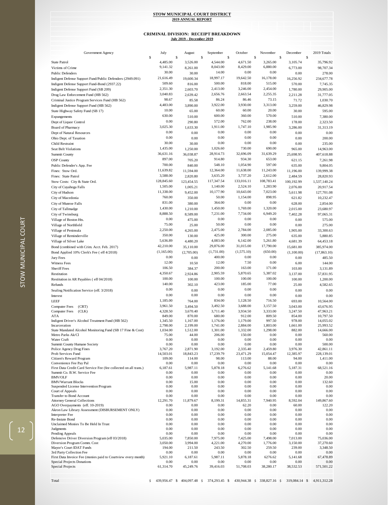## **July 2019 - December 2019 CRIMINAL DIVISION: RECEIPT BREAKDOWN**

| Government Agency                                                                               | July                 | August               |                     | September            | October              | November             | December             |              | 2019 Totals            |
|-------------------------------------------------------------------------------------------------|----------------------|----------------------|---------------------|----------------------|----------------------|----------------------|----------------------|--------------|------------------------|
| <b>State Patrol</b>                                                                             | \$<br>4,485.00       | \$<br>3,526.00       | \$                  |                      | \$                   | \$                   | \$                   | $\mathbb{S}$ | 35,796.92              |
| Victims of Crime                                                                                | 9,141.32             | 8,261.00             |                     | 4,544.00<br>8,043.00 | 4,671.50<br>8,429.00 | 3,265.00<br>6,880.00 | 3,105.74<br>6,773.00 |              | 98,707.34              |
| <b>Public Defenders</b>                                                                         | 30.00                | 30.00                |                     | 14.00                | 0.00                 | 0.00                 | 0.00                 |              | 278.00                 |
| Indigent Defense Support Fund/Public Defenders (2949.091)                                       | 21,616.49            | 19,600.34            |                     | 18,997.17            | 19,642.50            | 16,178.00            | 16,256.92            |              | 234,677.78             |
| Indigent Defense Support Fund-Bond (2937.22)                                                    | 509.60               | 816.00               |                     | 500.00               | 818.00               | 515.00               | 570.00               |              | 7,745.35               |
| Indigent Defense Support Fund (SB 209)                                                          | 2,351.30             | 2,603.70             |                     | 2,413.00             | 3,246.00             | 2,454.00             | 1,780.00             |              | 29,905.00              |
| Drug Law Enforcement Fund (HB 562)                                                              | 3,040.83             | 2,639.42             |                     | 2,656.76             | 2,663.54             | 2,255.35             | 2,211.28             |              | 31,777.05              |
| Criminal Justice Program Services Fund (HB 562)                                                 | 98.67                | 85.58                |                     | 86.24                | 86.46                | 73.15                | 71.72                |              | 1,030.70               |
| Indigent Defense Support Fund (HB 562)                                                          | 4,483.00             | 3,890.00             |                     | 3,922.00             | 3,930.00             | 3,313.00             | 3,259.00             |              | 46,829.98              |
| State Highway Safety Fund (SB 17)                                                               | 10.00                | 65.00                |                     | 60.00                | 60.00                | 20.00                | 30.00                |              | 595.00                 |
| Expungements                                                                                    | 630.00               | 510.00               |                     | 600.00               | 360.00               | 570.00               | 510.00               |              | 7,380.00               |
| Dept of Liquor Control                                                                          | 0.00                 | 290.80               |                     | 572.00               | 762.00               | 238.00               | 178.00               |              | 2,323.50               |
| <b>Board of Pharmacy</b>                                                                        | 3,025.30             | 1,633.30             |                     | 1,911.00             | 1,747.10             | 1,985.90             | 3,286.00             |              | 31,313.19              |
| Dept of Natural Resources                                                                       | 0.00                 | 0.00                 |                     | 0.00                 | 0.00                 | 0.00                 | 0.00                 |              | 0.00                   |
| Ohio Dept. of Taxation                                                                          | 0.00                 | 0.00                 |                     | 0.00                 | 0.00                 | 0.00                 | 0.00                 |              | 200.00                 |
| Child Restraint                                                                                 | 30.00                | 30.00                |                     | 0.00                 | 0.00                 | 0.00                 | 0.00                 |              | 235.00                 |
| Seat Belt Violations                                                                            | 1,435.00             | 1,250.00             |                     | 1,026.60             | 730.00               | 690.00               | 965.00               |              | 14,963.00              |
| Summit County                                                                                   | 36,631.16            | 36,038.87            |                     | 28,914.73            | 32,696.09            | 31,639.29            | 25,698.95            |              | 407,618.88             |
| <b>OSP</b> County                                                                               | 897.00               | 705.20               |                     | 914.80               | 934.30               | 653.00               | 621.15               |              | 7,261.98               |
| Public Defender's App. Fee                                                                      | 700.00               | 840.00               |                     | 548.10               | 1,054.90             | 597.00               | 635.00               |              | 9,804.05               |
| Fines: Stow Ord.                                                                                | 11,639.82            | 11,594.00            |                     | 12,364.00            | 11,638.00            | 11,243.00            | 11,196.00            |              | 139,999.38             |
| Fines: State Patrol                                                                             | 3,588.00             | 2,820.80             |                     | 3,635.20             | 3,737.20             | 2,612.00             | 2,484.59             |              | 28,820.93              |
| Stow Costs: City & State Ord.                                                                   | 128,845.60           | 123,454.55           |                     | 117,347.54           | 133,016.11           | 108,783.41           | 100,192.99           |              | 1,537,140.24           |
| City of Cuyahoga Falls                                                                          | 1,505.00             | 1,005.21             |                     | 1,140.00             | 2,524.10             | 1,283.90             | 2,076.00             |              | 20,917.54              |
| City of Hudson                                                                                  | 11,338.00            | 9,452.00             |                     | 10,177.90            | 10,643.00            | 7,023.00             | 5,611.98             |              | 127,701.08             |
| City of Macedonia                                                                               | 760.00               | 350.00               |                     | 50.00                | 1,154.00             | 898.95               | 621.82               |              | 10,232.47              |
| City of Munroe Falls                                                                            | 831.00               | 380.00               |                     | 364.00               | 0.00                 | 0.00                 | 628.00               |              | 2,854.00               |
| City of Tallmadge                                                                               | 1,430.00             | 1,210.00             |                     | 1,450.00             | 1,769.00             | 1,320.00             | 2,015.00             |              | 23,680.97              |
| City of Twinsburg                                                                               | 8,888.50             | 8,589.00             |                     | 7,231.00             | 7,734.00             | 6,949.20             | 7,402.28             |              | 97,065.31              |
| Village of Boston Hts.                                                                          | 0.00                 | 475.00               |                     | 0.00                 | 0.00                 | 0.00                 | 0.00                 |              | 575.00                 |
| Village of Northfield                                                                           | 75.00                | 25.00                |                     | 50.00                | 0.00                 | 0.00                 | 0.00                 |              | 275.00                 |
| Village of Peninsula                                                                            | 2,250.00             | 4,265.00             |                     | 2,475.00             | 2,784.00             | 2,085.00             | 1,905.00             |              | 33,300.63              |
| Village of Reminderville                                                                        | 350.00               | 130.00               |                     | 425.00               | 300.00               | 275.00               | 635.00               |              | 5,880.85               |
| Village of Silver Lake                                                                          | 5,636.89             | 4,480.20             |                     | 4,083.00             | 6,142.00             | 5,261.80             | 4,681.39             |              | 64,453.18              |
| Bond (combined with Crim. Acct. Feb. 2017)                                                      | 42,210.00            | 35,110.00            |                     | 29,876.00            | 31,015.00            | 17,790.00            | 15,681.00            |              | 385,974.00             |
| Bond Applied 10% Clerk's Fee ( eff 4/2018)                                                      | (1,165.00)           | (2,705.00)           |                     | (1,731.00)           | (1,575.10)           | (650.00)             | (1,100.00)           |              | (17, 863.10)           |
| Jury Fees                                                                                       | 0.00                 | 0.00                 |                     | 400.00               | 0.00                 | 0.00                 | 0.00                 |              | 485.50                 |
| Witness Fees                                                                                    | 12.00                | 10.50                |                     | 12.00                | 7.50                 | 0.00                 | 6.00                 |              | 144.00                 |
| <b>Sheriff Fees</b>                                                                             | 106.50               | 384.37               |                     | 200.00               | 163.00               | 171.00               | 103.00               |              | 3,131.89               |
| Restitution                                                                                     | 4,350.67             | 2,924.86             |                     | 2,905.59             | 5,870.65             | 5,387.02             | 3,137.00             |              | 57,831.95              |
| Restitution in AR Payables (eff 04/2018)                                                        | 100.00               | 100.00               |                     | 100.00               | 100.00               | 100.00               | 100.00               |              | 1,200.00               |
| Refunds                                                                                         | 140.00               | 302.10               |                     | 423.00               | 185.00               | 77.00                | 25.00                |              | 4,582.65               |
| Sealing Notification Service (eff. 3/2018)                                                      | 0.00                 | 0.00                 |                     | 0.00                 | 0.00                 | 0.00                 | 0.00                 |              | 0.00                   |
| Interest                                                                                        | 0.00                 | 0.00                 |                     | 0.00                 | 0.00                 | 0.00                 | 0.00                 |              | 0.00                   |
| LEEF                                                                                            | 1,185.00             | 764.00               |                     | 834.00               | 1,128.50             | 716.50               | 693.00               |              | 10,564.00              |
| <b>Computer Fees</b><br>(CRT)                                                                   | 3,961.50             | 3,494.50             |                     | 3,492.50             | 3,688.00             | 3,157.50             | 3,043.00             |              | 43,676.95              |
| Computer Fees<br>(CLK)                                                                          | 4,328.50             | 3,670.40             |                     | 3,711.40             | 3,934.50             | 3,333.00             | 3,247.50             |              | 47,963.21              |
| ATA                                                                                             | 849.00               | 870.00               |                     | 680.00               | 912.00               | 809.50               | 854.00               |              | 10,797.50              |
| Indigent Driver's Alcohol Treatment Fund (HB 562)                                               | 1,345.50             | 1,167.00             |                     | 1,176.00             | 1,179.00             | 997.50               | 978.00               |              | 14,055.02              |
| Incarceration                                                                                   | 2,798.00             | 2,199.00             |                     | 1,741.00             | 2,884.00             | 1,803.00             | 1,661.00             |              | 25,993.52              |
| State Mandated Alcohol Monitoring Fund (SB 17 Fine & Cost)<br>Metro Parks Ak/Cl                 | 1,034.00<br>75.00    | 1,512.00<br>44.00    |                     | 1,301.00<br>206.00   | 1,332.00<br>150.00   | 1,298.00<br>0.00     | 882.00<br>0.00       |              | 14,666.00<br>560.00    |
| Water Craft                                                                                     | 0.00                 | 0.00                 |                     | 0.00                 | 0.00                 | 0.00                 | 0.00                 |              | 0.00                   |
| Summit County Humane Society                                                                    | 0.00                 | 0.00                 |                     | 0.00                 | 0.00                 | 0.00                 | 0.00                 |              | 500.00                 |
| Police Agency Drug Fines                                                                        | 3,767.20             | 2,871.90             |                     | 3,192.00             | 2,335.40             | 2,459.80             | 3,976.30             |              | 42,861.11              |
| Prob Services Fund                                                                              | 14,503.01            | 18,843.23            |                     | 17,239.79            | 23,471.29            | 15,054.47            | 12,385.97            |              | 228,139.01             |
| Citizen's Reward Program                                                                        | 109.00               | 114.00               |                     | 98.00                | 113.00               | 88.00                | 94.00                |              | 1,411.00               |
| Convenience Fee Pay Pal                                                                         | 0.00                 | 0.00                 |                     | 0.00                 | 0.00                 | 0.00                 | 0.00                 |              | 0.00                   |
| First Data Credit Card Service Fee (fee collected on all trans.)<br>Summit Co. B.W. Service Fee | 6,187.61<br>0.00     | 5,987.11<br>0.00     |                     | 5,878.18<br>0.00     | 6,276.62<br>0.00     | 5,141.68<br>0.00     | 5,187.31<br>0.00     |              | 68,521.16<br>0.00      |
| <b>BMV/OLF</b>                                                                                  | 0.00                 | 0.00                 |                     | 0.00                 | 0.00                 | 0.00                 | 0.00                 |              | 20.00                  |
| <b>BMV/Warrant Blocks</b>                                                                       | 0.00                 | 15.00                |                     | 0.00                 | 0.00                 | 0.00                 | 0.00                 |              | 132.60                 |
| Suspended License Intervention Program                                                          | 0.00                 | 0.00                 |                     | 0.00                 | 0.00                 | 0.00                 | 0.00                 |              | 0.00                   |
| Court of Appeals                                                                                | $0.00\,$             | 0.00                 |                     | 0.00                 | 0.00                 | 0.00                 | 0.00                 |              | 0.00                   |
| Transfer to Bond Account                                                                        | 0.00                 | 0.00                 |                     | 0.00                 | 0.00                 | 0.00                 | 0.00                 |              | 0.00                   |
| <b>Attorney General Collections</b>                                                             | 12,291.70            | 11,879.67            |                     | 8,199.31             | 14,855.31            | 7,940.95             | 8,592.04             |              | 149,867.60             |
| AGO Overpayments (eff. 10-2019)<br>Akron Law Library Assessment (DISBURSEMENT ONLY)             | 0.00<br>0.00         | 0.00<br>0.00         |                     | 0.00<br>0.00         | 62.20<br>0.00        | 0.00<br>0.00         | 60.00<br>0.00        |              | 122.20<br>0.00         |
| <b>Interpreter Fee</b>                                                                          | 0.00                 | 0.00                 |                     | 0.00                 | 0.00                 | 0.00                 | 0.00                 |              | 0.00                   |
| Re-Instate Bond                                                                                 | 0.00                 | 0.00                 |                     | 0.00                 | 0.00                 | 0.00                 | 0.00                 |              | 0.00                   |
| Unclaimed Monies To Be Held In Trust                                                            | 0.00                 | 0.00                 |                     | 0.00                 | 0.00                 | 0.00                 | 0.00                 |              | 0.00                   |
| Judgments                                                                                       | 0.00                 | 0.00                 |                     | 0.00                 | 0.00                 | 0.00                 | 0.00                 |              | 0.00                   |
| Pending Appeals                                                                                 | 0.00                 | 0.00                 |                     | 0.00                 | 0.00                 | 0.00                 | 0.00                 |              | 0.00                   |
| Defensive Driver Diversion Program (eff 03/2018)<br>Diversion Program Comm. Cost                | 5,035.00<br>3,050.00 | 7,850.00<br>3,994.00 |                     | 7,975.00<br>4,221.00 | 7,425.00<br>4,270.00 | 7,498.00<br>1,776.00 | 7,013.00<br>3,150.00 |              | 75,036.00<br>37,270.60 |
| Mayor's Court IDAT Funds                                                                        | 194.00               | 211.50               |                     | 243.50               | 302.50               | 259.50               | 239.00               |              | 3,348.50               |
| 3rd Party Collection Fee                                                                        | 0.00                 | 0.00                 |                     | 0.00                 | 0.00                 | 0.00                 | 0.00                 |              | 0.00                   |
| First Data Invoice Fee (monies paid to Courtview every month)                                   | 5,921.10             | 6,187.61             |                     | 5,987.11             | 5,878.18             | 6276.62              | 5,141.68             |              | 67,478.89              |
| <b>Special Projects Donations</b>                                                               | 0.00                 | 0.00                 |                     | 0.00                 | 0.00                 | 0.00                 | 0.00                 |              | 0.00                   |
| <b>Special Projects</b>                                                                         | 61,314.70            | 45,249.76            |                     | 39,416.03            | 51,708.03            | 38,280.17            | 38,532.53            |              | 571,501.22             |
|                                                                                                 |                      |                      |                     |                      |                      |                      |                      |              |                        |
| Total                                                                                           | \$<br>439,956.47     | \$<br>404,097.48     | $\ddot{\mathsf{s}}$ | 374,293.45 \$        | 430,944.38           | $$338,827.16$ \$     | 319,084.14 \$        |              | 4,911,312.28           |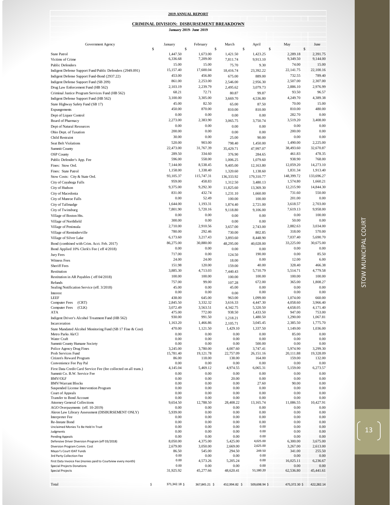|                                                                                                 |                                                                                    |                      |    | <b>2019 ANNUAL REPORT</b> |              |                      |               |                      |    |                       |              |                       |
|-------------------------------------------------------------------------------------------------|------------------------------------------------------------------------------------|----------------------|----|---------------------------|--------------|----------------------|---------------|----------------------|----|-----------------------|--------------|-----------------------|
|                                                                                                 |                                                                                    |                      |    |                           |              |                      |               |                      |    |                       |              |                       |
|                                                                                                 | <b>CRIMINAL DIVISION: DISBURSEMENT BREAKDOWN</b><br><b>January 2019- June 2019</b> |                      |    |                           |              |                      |               |                      |    |                       |              |                       |
|                                                                                                 |                                                                                    |                      |    |                           |              |                      |               |                      |    |                       |              |                       |
| Government Agency                                                                               | \$                                                                                 | January              | \$ | February                  | $\mathsf{s}$ | March                | $\mathsf{\$}$ | April                | \$ | May                   | $\mathbb{S}$ | June                  |
| <b>State Patrol</b>                                                                             |                                                                                    | 1,447.50             |    | 1,673.00                  |              | 1,421.50             |               | 1,423.25             |    | 2,289.18              |              | 2,391.75              |
| Victims of Crime                                                                                |                                                                                    | 6,336.68             |    | 7,209.00                  |              | 7,811.74             |               | 9,913.10             |    | 9,349.50              |              | 9,144.00              |
| <b>Public Defenders</b>                                                                         |                                                                                    | 15.00                |    | 15.00                     |              | 75.70                |               | 9.30                 |    | 74.00                 |              | 15.00                 |
| Indigent Defense Support Fund/Public Defenders (2949.091)                                       |                                                                                    | 15,157.40            |    | 17,600.04                 |              | 18,416.74            |               | 23,392.22            |    | 22,141.75             |              | 22,100.16             |
| Indigent Defense Support Fund-Bond (2937.22)                                                    |                                                                                    | 453.00               |    | 456.80                    |              | 675.00               |               | 889.00               |    | 732.55                |              | 789.40                |
| Indigent Defense Support Fund (SB 209)                                                          |                                                                                    | 861.00<br>2,103.19   |    | 2,253.00<br>2,239.79      |              | 2,546.00             |               | 2,956.30             |    | 2,507.00<br>2,886.10  |              | 2,307.00<br>2,976.99  |
| Drug Law Enforcement Fund (HB 562)                                                              |                                                                                    | 68.21                |    | 72.71                     |              | 2,495.62<br>80.87    |               | 3,079.73<br>99.87    |    | 93.50                 |              | 96.57                 |
| Criminal Justice Program Services Fund (HB 562)<br>Indigent Defense Support Fund (HB 562)       |                                                                                    | 3,100.00             |    | 3,305.00                  |              | 3,669.70             |               | 4,536.80             |    | 4,249.70              |              | 4,389.38              |
| State Highway Safety Fund (SB 17)                                                               |                                                                                    | 45.00                |    | 82.50                     |              | 65.00                |               | 87.50                |    | 70.00                 |              | 15.00                 |
| Expungements                                                                                    |                                                                                    | 450.00               |    | 870.00                    |              | 810.00               |               | 810.00               |    | 810.00                |              | 480.00                |
| Dept of Liquor Control                                                                          |                                                                                    | 0.00                 |    | 0.00                      |              | 0.00                 |               | 0.00                 |    | 282.70                |              | 0.00                  |
| <b>Board of Pharmacy</b>                                                                        |                                                                                    | 2,273.00             |    | 2,383.90                  |              | 3,065.75             |               | 3,750.74             |    | 3,519.20              |              | 3,408.00              |
| Dept of Natural Resources                                                                       |                                                                                    | 0.00                 |    | 0.00                      |              | 0.00                 |               | 0.00                 |    | 0.00                  |              | 0.00                  |
| Ohio Dept. of Taxation                                                                          |                                                                                    | 200.00               |    | 0.00                      |              | 0.00                 |               | 0.00                 |    | 200.00                |              | 0.00                  |
| <b>Child Restraint</b>                                                                          |                                                                                    | 30.00                |    | 0.00                      |              | 25.00                |               | 90.00                |    | 0.00                  |              | 0.00                  |
| <b>Seat Belt Violations</b>                                                                     |                                                                                    | 520.00               |    | 903.00<br>31,767.39       |              | 798.40               |               | 1,450.00             |    | 1,490.00<br>38,493.60 |              | 2,225.00<br>32,670.87 |
| Summit County                                                                                   |                                                                                    | 22,473.00<br>289.50  |    | 334.60                    |              | 35,429.71            |               | 47,997.07<br>284.65  |    | 461.83                |              | 478.35                |
| <b>OSP</b> County                                                                               |                                                                                    | 596.00               |    | 558.00                    |              | 376.90               |               | 1,079.60             |    | 938.90                |              | 768.00                |
| Public Defender's App. Fee<br>Fines: Stow Ord.                                                  |                                                                                    | 7,144.00             |    | 8.538.45                  |              | 1,006.25<br>9,405.00 |               | 12,163.80            |    | 12,059.20             |              | 14,273.10             |
| Fines: State Patrol                                                                             |                                                                                    | 1,158.00             |    | 1,338.40                  |              | 1,320.60             |               | 1,138.60             |    | 1,831.34              |              | 1,913.40              |
| Stow Costs: City & State Ord.                                                                   |                                                                                    | 93,105.37            |    | 115,747.31                |              | 136.333.92           |               | 179,310.77           |    | 148,399.72            |              | 133,696.27            |
| City of Cuyahoga Falls                                                                          |                                                                                    | 959.00               |    | 458.83                    |              | 1,312.50             |               | 3,480.13             |    | 1,574.80              |              | 1,660.21              |
| City of Hudson                                                                                  |                                                                                    | 9,375.00             |    | 9.292.30                  |              | 11,825.60            |               | 13,369.30            |    | 12,215.90             |              | 14,844.30             |
| City of Macedonia                                                                               |                                                                                    | 831.00               |    | 432.74                    |              | 1,231.10             |               | 1,660.00             |    | 731.60                |              | 550.00                |
| City of Munroe Falls                                                                            |                                                                                    | 0.00                 |    | 52.49                     |              | 100.00               |               | 100.00               |    | 201.00                |              | 0.00                  |
| City of Tallmadge                                                                               |                                                                                    | 1,644.00             |    | 1,193.31                  |              | 1,874.40             |               | 2,721.00             |    | 3,618.57              |              | 2,703.00              |
| City of Twinsburg                                                                               |                                                                                    | 7,801.90             |    | 5,720.16                  |              | 9,118.80             |               | 9,106.00             |    | 7,619.13              |              | 9,958.00              |
| Village of Boston Hts.                                                                          |                                                                                    | 0.00                 |    | 0.00                      |              | 0.00                 |               | 0.00                 |    | 0.00                  |              | 100.00                |
| Village of Northfield                                                                           |                                                                                    | 300.00               |    | 0.00                      |              | 0.00                 |               | 0.00                 |    | 50.00                 |              | 0.00                  |
| Village of Peninsula                                                                            |                                                                                    | 2,710.00             |    | 2,910.56                  |              | 3,657.00             |               | 2,743.00             |    | 2,882.63              |              | 3,034.00              |
| Village of Reminderville                                                                        |                                                                                    | 780.00               |    | 292.46                    |              | 730.00               |               | 802.85               |    | 318.00                |              | 570.00                |
| Village of Silver Lake                                                                          |                                                                                    | 6,173.60             |    | 3,217.43                  |              | 3,893.60             |               | 8,448.90             |    | 7,037.40              |              | 5,690.70              |
| Bond (combined with Crim. Acct. Feb. 2017)                                                      |                                                                                    | 86,275.00<br>0.00    |    | 30,880.00<br>0.00         |              | 48,295.00            |               | 40,028.00            |    | 33,225.00<br>0.00     |              | 30,675.00<br>0.00     |
| Bond Applied 10% Clerk's Fee (eff 4/2018)                                                       |                                                                                    | 717.00               |    | 0.00                      |              | 0.00                 |               | 0.00<br>190.00       |    | 0.00                  |              | 85.50                 |
| Jury Fees                                                                                       |                                                                                    | 24.00                |    | 24.00                     |              | 124.50               |               | 0.00                 |    | 12.00                 |              | 6.00                  |
| Witness Fees<br><b>Sheriff Fees</b>                                                             |                                                                                    | 151.98               |    | 120.00                    |              | 18.00<br>159.00      |               | 40.00                |    | 328.40                |              | 466.38                |
| Restitution                                                                                     |                                                                                    | 3.885.30             |    | 4,713.03                  |              | 7,440.43             |               | 5,710.79             |    | 5,514.71              |              | 4,779.58              |
| Restitution in AR Payables (eff 04/2018)                                                        |                                                                                    | 100.00               |    | 100.00                    |              | 100.00               |               | 100.00               |    | 100.00                |              | 100.00                |
| Refunds                                                                                         |                                                                                    | 757.00               |    | 99.00                     |              | 107.28               |               | 672.00               |    | 365.00                |              | 1,808.27              |
| Sealing Notification Service (eff. 3/2018)                                                      |                                                                                    | 45.00                |    | 0.00                      |              | 45.00                |               | 0.00                 |    | 0.00                  |              | 0.00                  |
| Interest                                                                                        |                                                                                    | 0.00                 |    | 0.00                      |              | 0.00                 |               | 0.00                 |    | 0.00                  |              | 0.00                  |
| LEEF                                                                                            |                                                                                    | 438.00               |    | 645.00                    |              | 963.00               |               | 1,099.00             |    | 1,074.00              |              | 660.00                |
| <b>Computer Fees</b><br>(CRT)<br><b>Computer Fees</b><br>(CLK)                                  |                                                                                    | 2,845.50<br>3,072.49 |    | 3,332.32<br>3,563.51      |              | 3,616.33<br>4,342.75 |               | 4,447.30<br>5,320.50 |    | 4,058.60<br>4,658.05  |              | 3,966.40<br>4,171.40  |
| <b>ATA</b>                                                                                      |                                                                                    | 475.00               |    | 772.00                    |              | 938.50               |               | 1,433.50             |    | 947.00                |              | 753.00                |
| Indigent Driver's Alcohol Treatment Fund (HB 562)                                               |                                                                                    | 930.00               |    | 991.50                    |              | 1,218.21             |               | 1,480.50             |    | 1,290.00              |              | 1,067.81              |
| Incarceration                                                                                   |                                                                                    | 1,163.20             |    | 1,466.86                  |              | 2,105.71             |               | 3,045.45             |    | 2,385.50              |              | 1,775.70              |
| State Mandated Alcohol Monitoring Fund (SB 17 Fine & Cost)                                      |                                                                                    | 470.00               |    | 1,121.50                  |              | 1,429.10             |               | 1,337.50             |    | 1,149.00              |              | 1,036.00              |
| Metro Parks Ak/Cl                                                                               |                                                                                    | 0.00                 |    | 0.00                      |              | 0.00                 |               | 0.00                 |    | 85.00                 |              | 0.00                  |
| Water Craft<br>Summit County Humane Society                                                     |                                                                                    | 0.00<br>0.00         |    | 0.00<br>0.00              |              | 0.00<br>0.00         |               | 0.00<br>500.00       |    | 0.00<br>0.00          |              | 0.00<br>0.00          |
| Police Agency Drug Fines                                                                        |                                                                                    | 3,245.00             |    | 3,780.00                  |              | 4,007.60             |               | 3,747.41             |    | 5,974.90              |              | 3,299.30              |
| Prob Services Fund                                                                              |                                                                                    | 15,781.40            |    | 19,121.78                 |              | 22,757.09            |               | 26,151.16            |    | 20,111.88             |              | 19,328.09             |
| Citizen's Reward Program                                                                        |                                                                                    | 86.00                |    | 118.00                    |              | 138.00               |               | 164.00               |    | 159.00                |              | 132.00                |
| Convenience Fee Pay Pal                                                                         |                                                                                    | 0.00<br>4,145.04     |    | 0.00<br>5,469.12          |              | 0.00<br>4,974.55     |               | 0.00<br>6,065.31     |    | 0.00<br>5,159.00      |              | 0.00<br>6,273.57      |
| First Data Credit Card Service Fee (fee collected on all trans.)<br>Summit Co. B.W. Service Fee |                                                                                    | 0.00                 |    | 0.00                      |              | 0.00                 |               | 0.00                 |    | 0.00                  |              | 0.00                  |
| <b>BMV/OLF</b>                                                                                  |                                                                                    | 0.00                 |    | 0.00                      |              | 20.00                |               | 0.00                 |    | 0.00                  |              | 0.00                  |
| <b>BMV/Warrant Blocks</b>                                                                       |                                                                                    | 0.00                 |    | 0.00                      |              | 0.00                 |               | 27.60                |    | 90.00                 |              | 0.00                  |
| Suspended License Intervention Program                                                          |                                                                                    | 0.00                 |    | 0.00                      |              | 0.00                 |               | 0.00                 |    | 0.00                  |              | 0.00                  |
| Court of Appeals<br>Transfer to Bond Account                                                    |                                                                                    | 0.00<br>0.00         |    | 0.00<br>0.00              |              | 0.00<br>0.00         |               | 0.00<br>0.00         |    | 0.00<br>0.00          |              | 0.00<br>0.00          |
| <b>Attorney General Collections</b>                                                             |                                                                                    | 9,654.50             |    | 12,788.50                 |              | 28,408.22            |               | 13,165.74            |    | 11,086.55             |              | 10,427.91             |
| AGO Overpayments (eff. 10-2019)                                                                 |                                                                                    | 0.00                 |    | 0.00                      |              | 0.00                 |               | 0.00                 |    | 0.00                  |              | 0.00                  |
| Akron Law Library Assessment (DISBURSEMENT ONLY)                                                |                                                                                    | 5,939.00             |    | 0.00                      |              | 0.00                 |               | 0.00                 |    | 0.00                  |              | 0.00                  |
| <b>Interpreter Fee</b><br>Re-Instate Bond                                                       |                                                                                    | 0.00<br>0.00         |    | 0.00<br>0.00              |              | 0.00<br>0.00         |               | 0.00<br>0.00         |    | 0.00<br>0.00          |              | 0.00<br>0.00          |
| Unclaimed Monies To Be Held In Trust                                                            |                                                                                    | 0.00                 |    | 0.00                      |              | 0.00                 |               | 0.00                 |    | 0.00                  |              | 0.00                  |
| Judgments                                                                                       |                                                                                    | 0.00                 |    | 0.00                      |              | 0.00                 |               | 0.00                 |    | 0.00                  |              | 0.00                  |
| Pending Appeals                                                                                 |                                                                                    | 0.00                 |    | 0.00                      |              | 0.00                 |               | 0.00                 |    | 0.00                  |              | 0.00                  |
| Defensive Driver Diversion Program (eff 03/2018)<br>Diversion Program Comm. Cost                |                                                                                    | 8,050.00<br>2,679.00 |    | 4,375.00<br>3,050.00      |              | 5,425.00<br>2,669.00 |               | 4,025.00<br>2,625.00 |    | 6,300.00<br>3,267.00  |              | 3,675.00<br>2,613.00  |
| Mayor's Court IDAT Funds                                                                        |                                                                                    | 86.50                |    | 545.00                    |              | 294.50               |               | 249.50               |    | 341.00                |              | 255.50                |
| 3rd Party Collection Fee                                                                        |                                                                                    | 0.00                 |    | 0.00                      |              | 0.00                 |               | 0.00                 |    | 0.00                  |              | 0.00                  |
| First Data Invoice Fee (monies paid to Courtview every month)                                   |                                                                                    | 0.00                 |    | 4,573.26                  |              | 5,205.24             |               | 0.00                 |    | 16,025.11             |              | 6,236.67              |
| <b>Special Projects Donations</b>                                                               |                                                                                    | 0.00<br>31,925.92    |    | 0.00<br>45,277.66         |              | 0.00                 |               | 0.00<br>51,180.20    |    | 0.00                  |              | 0.00                  |
| <b>Special Projects</b>                                                                         |                                                                                    |                      |    |                           |              | 48,620.41            |               |                      |    | 62,536.80             |              | 45,441.61             |
|                                                                                                 |                                                                                    |                      |    |                           |              |                      |               |                      |    |                       |              |                       |
| Total                                                                                           | \$                                                                                 | 371,342.18 \$        |    | 367,845.21 \$             |              | 452,994.82 \$        |               | 509,698.94 \$        |    | 475,372.30 \$         |              | 422,282.14            |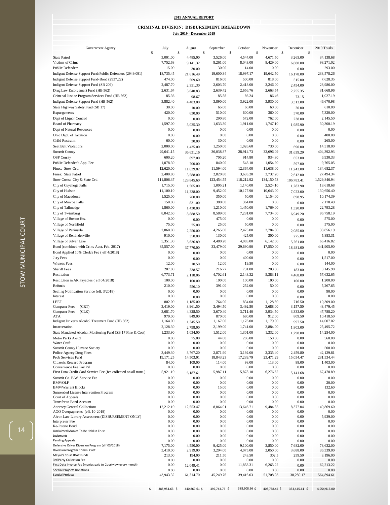#### **2019 ANNUAL REPORT**

#### **CRIMINAL DIVISION: DISBURSEMENT BREAKDOWN**

|  |  | Julv 2019 - December 2019 |  |
|--|--|---------------------------|--|
|  |  |                           |  |

| Government Agency                                                                         | July                 |      | August               | September            | October              |              | November             |              | December             |              | 2019 Totals            |
|-------------------------------------------------------------------------------------------|----------------------|------|----------------------|----------------------|----------------------|--------------|----------------------|--------------|----------------------|--------------|------------------------|
|                                                                                           | \$                   | $\$$ |                      | \$                   | \$                   | $\mathbb{S}$ |                      | $\mathbb{S}$ |                      | $\mathbb{S}$ |                        |
| <b>State Patrol</b><br>Victims of Crime                                                   | 3,001.00<br>7,752.68 |      | 4,485.00             | 3,526.00<br>8,261.00 | 4,544.00<br>8,043.00 |              | 4,671.50<br>8,429.00 |              | 3,265.00             |              | 34,138.68<br>98,271.02 |
| <b>Public Defenders</b>                                                                   | 15.00                |      | 9,141.32             | 30.00                | 14.00                |              | 0.00                 |              | 6,880.00             |              | 293.00                 |
| Indigent Defense Support Fund/Public Defenders (2949.091)                                 | 18,735.45            |      | 30.00                | 19,600.34            | 18,997.17            |              | 19,642.50            |              | 0.00                 |              | 233,578.26             |
| Indigent Defense Support Fund-Bond (2937.22)                                              | 474.00               |      | 21,616.49<br>509.60  | 816.00               | 500.00               |              | 818.00               |              | 16,178.00<br>515.00  |              | 7,628.35               |
| Indigent Defense Support Fund (SB 209)                                                    | 2,487.70             |      | 2,351.30             | 2,603.70             | 2,413.00             |              | 3,246.00             |              | 2,454.00             |              | 28,986.00              |
| Drug Law Enforcement Fund (HB 562)                                                        | 2,631.64             |      | 3,040.83             | 2,639.42             | 2,656.76             |              | 2,663.54             |              | 2,255.35             |              | 31,668.96              |
| Criminal Justice Program Services Fund (HB 562)                                           | 85.36                |      | 98.67                | 85.58                | 86.24                |              | 86.46                |              | 73.15                |              | 1,027.19               |
| Indigent Defense Support Fund (HB 562)                                                    | 3,882.40             |      | 4,483.00             | 3,890.00             | 3,922.00             |              | 3,930.00             |              | 3,313.00             |              | 46,670.98              |
| State Highway Safety Fund (SB 17)                                                         | 30.00                |      | 10.00                | 65.00                | 60.00                |              | 60.00                |              | 20.00                |              | 610.00                 |
| Expungements                                                                              | 420.00               |      | 630.00               | 510.00               | 600.00               |              | 360.00               |              | 570.00               |              | 7,320.00               |
| Dept of Liquor Control                                                                    | 0.00                 |      | 0.00                 | 290.80               | 572.00               |              | 762.00               |              | 238.00               |              | 2,145.50               |
| Board of Pharmacy                                                                         | 1,597.00             |      | 3,025.30             | 1,633.30             | 1,911.00             |              | 1,747.10             |              | 1,985.90             |              | 30,300.19              |
| Dept of Natural Resources                                                                 | 0.00                 |      | 0.00                 | 0.00                 | 0.00                 |              | 0.00                 |              | 0.00                 |              | 0.00                   |
| Ohio Dept. of Taxation                                                                    | 0.00                 |      | 0.00                 | 0.00                 | 0.00                 |              | 0.00                 |              | 0.00                 |              | 400.00                 |
| <b>Child Restraint</b>                                                                    | 60.00                |      | 30.00                | 30.00                | 0.00                 |              | 0.00                 |              | 0.00                 |              | 265.00                 |
| <b>Seat Belt Violations</b>                                                               | 2,000.00             |      | 1,435.00             | 1,250.00             | 1,026.60             |              | 730.00               |              | 690.00               |              | 14,518.00              |
| Summit County                                                                             | 29,641.15            |      | 36,631.16            | 36,038.87            | 28,914.73            |              | 32,696.09            |              | 31,639.29            |              | 404,392.93             |
| <b>OSP County</b>                                                                         | 600.20               |      | 897.00               | 705.20               | 914.80               |              | 934.30               |              | 653.00               |              | 6,930.33               |
| Public Defender's App. Fee                                                                | 1,078.30             |      | 700.00               | 840.00               | 548.10               |              | 1,054.90             |              | 597.00               |              | 9,765.05               |
| Fines: Stow Ord.                                                                          | 12,620.00            |      | 11,639.82            | 11,594.00            | 12,364.00            |              | 11,638.00            |              | 11,243.00            |              | 134,682.37             |
| Fines: State Patrol                                                                       | 2,400.80             |      | 3,588.00             | 2,820.80             | 3,635.20             |              | 3,737.20             |              | 2,612.00             |              | 27,494.34              |
| Stow Costs: City & State Ord.                                                             | 111,806.37           |      | 128,845.60           | 123,454.55           | 118,212.92           |              | 134,150.73           |              | 106,783.41           |              | 1,529,846.94           |
| City of Cuyahoga Falls                                                                    | 1,715.00             |      | 1,505.00             | 1,005.21             | 1,140.00             |              | 2,524.10             |              | 1,283.90             |              | 18,618.68              |
| City of Hudson                                                                            | 11,100.10            |      | 11,338.00            | 9,452.00             | 10,177.90            |              | 10,643.00            |              | 7,023.00             |              | 130,656.40             |
| City of Macedonia                                                                         | 1,525.00             |      | 760.00               | 350.00               | 50.00                |              | 1,154.00             |              | 898.95               |              | 10,174.39              |
| City of Munroe Falls                                                                      | 150.00               |      | 831.00               | 380.00               | 364.00               |              | 0.00                 |              | 0.00                 |              | 2,178.49               |
| City of Tallmadge                                                                         | 1,860.00             |      | 1,430.00             | 1,210.00             | 1,450.00             |              | 1,769.00             |              | 1,320.00             |              | 22,793.28              |
| City of Twinsburg                                                                         | 8,042.50             |      | 8,888.50             | 8,589.00             | 7,231.00             |              | 7,734.00             |              | 6,949.20             |              | 96,758.19              |
| Village of Boston Hts.                                                                    | 0.00                 |      | 0.00                 | 475.00               | 0.00                 |              | 0.00                 |              | 0.00                 |              | 575.00                 |
| Village of Northfield                                                                     | 75.00                |      | 75.00                | 25.00                | 50.00                |              | 0.00                 |              | 0.00                 |              | 575.00                 |
| Village of Peninsula                                                                      | 2,060.00             |      | 2,250.00             | 4,265.00             | 2,475.00             |              | 2,784.00             |              | 2,085.00             |              | 33,856.19              |
| Village of Reminderville                                                                  | 910.00               |      | 350.00               | 130.00               | 425.00               |              | 300.00               |              | 275.00               |              | 5,883.31               |
| Village of Silver Lake                                                                    | 5,351.30             |      | 5,636.89             | 4,480.20             | 4,083.00             |              | 6,142.00             |              | 5,261.80             |              | 65,416.82              |
| Bond (combined with Crim. Acct. Feb. 2017)                                                | 35,557.00            |      | 37,770.00            | 33,479.00            | 29,690.90            |              | 17,550.00            |              | 18,481.00            |              | 441,905.90             |
| Bond Applied 10% Clerk's Fee ( eff 4/2018)                                                | 0.00<br>0.00         |      | 0.00                 | 0.00                 | 0.00                 |              | 0.00<br>0.00         |              | 0.00                 |              | 0.00<br>1,517.00       |
| Jury Fees<br>Witness Fees                                                                 | 12.00                |      | 0.00                 | 0.00<br>12.00        | 400.00<br>19.50      |              | 0.00                 |              | 0.00                 |              | 144.00                 |
| <b>Sheriff Fees</b>                                                                       | 207.00               |      | 10.50                | 216.77               | 731.80               |              | 203.00               |              | 6.00                 |              | 3,145.90               |
| Restitution                                                                               | 6,773.71             |      | 338.57               | 4,702.61             | 2,143.32             |              | 5,383.11             |              | 183.00<br>4,468.00   |              | 57,632.65              |
| Restitution in AR Payables (eff 04/2018)                                                  | 100.00               |      | 2,118.06<br>100.00   | 100.00               | 100.00               |              | 100.00               |              | 100.00               |              | 1,200.00               |
| Refunds                                                                                   | 210.00               |      | 556.10               | 391.00               | 252.00               |              | 50.00                |              | 0.00                 |              | 5,267.65               |
| Sealing Notification Service (eff. 3/2018)                                                | 0.00                 |      | 0.00                 | 0.00                 | 0.00                 |              | 0.00                 |              | 0.00                 |              | 90.00                  |
| Interest                                                                                  | 0.00                 |      | 0.00                 | 0.00                 | 0.00                 |              | 0.00                 |              | 0.00                 |              | 0.00                   |
| LEEF                                                                                      | 802.00               |      | 1,185.00             | 764.00               | 834.00               |              | 1,128.50             |              | 716.50               |              | 10,309.00              |
| <b>Computer Fees</b><br>(CRT)                                                             | 3,419.00             |      | 3,961.50             | 3,494.50             | 3,492.50             |              | 3,688.00             |              | 3,157.50             |              | 43,479.45              |
| <b>Computer Fees</b><br>(CLK)                                                             | 3,681.70             |      | 4,328.50             | 3,670.40             | 3,711.40             |              | 3,934.50             |              | 3,333.00             |              | 47,788.20              |
| ATA<br>Indigent Driver's Alcohol Treatment Fund (HB 562)                                  | 979.00<br>1,164.00   |      | 849.00               | 870.00<br>1,167.00   | 680.00<br>1,176.00   |              | 912.00<br>1,179.00   |              | 809.50               |              | 10,418.50<br>14,007.02 |
| Incarceration                                                                             | 2,128.30             |      | 1,345.50             | 2,199.00             | 1,741.00             |              | 2,884.00             |              | 997.50               |              | 25,495.72              |
| State Mandated Alcohol Monitoring Fund (SB 17 Fine & Cost)                                | 1,233.90             |      | 2,798.00<br>1,034.00 | 1,512.00             | 1,301.00             |              | 1,332.00             |              | 1,803.00             |              | 14,254.00              |
| Metro Parks Ak/Cl                                                                         | 0.00                 |      | 75.00                | 44.00                | 206.00               |              | 150.00               |              | 1,298.00<br>0.00     |              | 560.00                 |
| Water Craft                                                                               | 0.00                 |      | 0.00                 | 0.00                 | 0.00                 |              | 0.00                 |              | 0.00                 |              | 0.00                   |
| Summit County Humane Society                                                              | 0.00                 |      | 0.00                 | 0.00                 | 0.00                 |              | 0.00                 |              | 0.00                 |              | 500.00                 |
| Police Agency Drug Fines                                                                  | 3,449.30             |      | 3,767.20             | 2,871.90             | 3,192.00             |              | 2,335.40             |              | 2,459.80             |              | 42,129.81              |
| Prob Services Fund                                                                        | 19,171.25            |      | 14,503.01            | 18,843.23            | 17,239.79            |              | 23,471.29            |              | 15,054.47            |              | 231,534.44             |
| Citizen's Reward Program<br>Convenience Fee Pay Pal                                       | 84.00<br>0.00        |      | 109.00<br>0.00       | 114.00<br>0.00       | 98.00<br>0.00        |              | 113.00<br>0.00       |              | 88.00<br>0.00        |              | 1,403.00<br>0.00       |
| First Data Credit Card Service Fee (fee collected on all trans.)                          | 5,921.10             |      | 6,187.61             | 5,987.11             | 5,878.18             |              | 6,276.62             |              |                      |              | 67,478.89              |
| Summit Co. B.W. Service Fee                                                               | 0.00                 |      | 0.00                 | 0.00                 | 0.00                 |              | 0.00                 |              | 5,141.68<br>$0.00\,$ |              | 0.00                   |
| <b>BMV/OLF</b>                                                                            | 0.00                 |      | 0.00                 | 0.00                 | 0.00                 |              | 0.00                 |              | 0.00                 |              | 20.00                  |
| <b>BMV/Warrant Blocks</b>                                                                 | 0.00                 |      | 0.00                 | 15.00                | 0.00                 |              | 0.00                 |              | $0.00\,$             |              | 132.60                 |
| Suspended License Intervention Program                                                    | 0.00                 |      | 0.00                 | 0.00                 | 0.00                 |              | 0.00                 |              | 0.00                 |              | 0.00                   |
| Court of Appeals                                                                          | 0.00                 |      | 0.00                 | 0.00                 | 0.00                 |              | 0.00                 |              | 0.00                 |              | 0.00                   |
| Transfer to Bond Account<br><b>Attorney General Collections</b>                           | 0.00<br>12,212.10    |      | 0.00<br>12,553.47    | 0.00<br>8,064.01     | 0.00<br>13,646.71    |              | 0.00<br>9,484.85     |              | 0.00<br>8,377.04     |              | 0.00<br>149,869.60     |
| AGO Overpayments (eff. 10-2019)                                                           | 0.00                 |      | 0.00                 | 0.00                 | 0.00                 |              | 0.00                 |              | 0.00                 |              | 0.00                   |
| Akron Law Library Assessment (DISBURSEMENT ONLY)                                          | 0.00                 |      | 0.00                 | 0.00                 | 0.00                 |              | 0.00                 |              | 0.00                 |              | 5,939.00               |
| <b>Interpreter Fee</b>                                                                    | 0.00                 |      | 0.00                 | 0.00                 | 0.00                 |              | 0.00                 |              | 0.00                 |              | 0.00                   |
| Re-Instate Bond                                                                           | 0.00                 |      | 0.00                 | 0.00                 | 0.00                 |              | 0.00                 |              | 0.00                 |              | 0.00                   |
| Unclaimed Monies To Be Held In Trust<br>Judgments                                         | 0.00<br>0.00         |      | 0.00<br>0.00         | 0.00<br>0.00         | 0.00<br>0.00         |              | 0.00<br>0.00         |              | 0.00<br>0.00         |              | 0.00<br>0.00           |
| <b>Pending Appeals</b>                                                                    | 0.00                 |      | 0.00                 | 0.00                 | 0.00                 |              | 0.00                 |              | 0.00                 |              | 0.00                   |
| Defensive Driver Diversion Program (eff 03/2018)                                          | 7,175.00             |      | 4,550.00             | 9,425.00             | 9,100.00             |              | 3,850.00             |              | 7,682.00             |              | 73,632.00              |
| Diversion Program Comm. Cost                                                              | 3,410.00             |      | 2,919.00             | 3,294.00             | 4,075.00             |              | 2,050.00             |              | 3,688.00             |              | 36,339.00              |
| Mayor's Court IDAT Funds                                                                  | 213.00               |      | 194.00               | 211.50               | 243.50               |              | 302.5                |              | 259.50               |              | 3,196.00               |
| 3rd Party Collection Fee<br>First Data Invoice Fee (monies paid to Courtview every month) | 0.00<br>0.00         |      | 0.00                 | 0.00                 | 0.00                 |              | 0.00                 |              | 0.00                 |              | 0.00<br>62,213.22      |
| <b>Special Projects Donations</b>                                                         | 0.00                 |      | 12,049.41<br>0.00    | 0.00<br>0.00         | 11,858.31<br>0.00    |              | 6,265.22<br>0.00     |              | 0.00<br>0.00         |              | 0.00                   |
| <b>Special Projects</b>                                                                   | 43,943.32            |      | 61,314.70            | 45,249.76            | 39,416.03            |              | 51,708.03            |              | 38,280.17            |              | 564,894.61             |
|                                                                                           |                      |      |                      |                      |                      |              |                      |              |                      |              |                        |
|                                                                                           | \$<br>385,954.63 \$  |      | 440,869.61 \$        | 397,743.76 \$        | 388,608.36 \$        |              | 408,758.44 \$        |              | 333,445.61 \$        |              | 4,954,916.00           |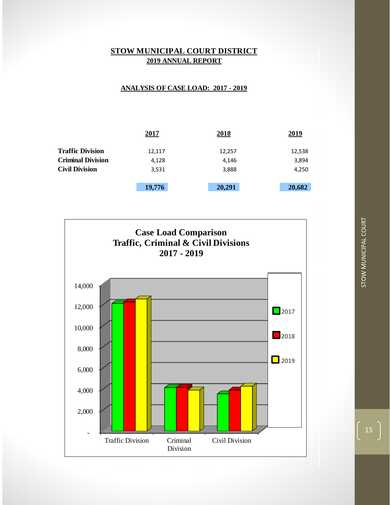

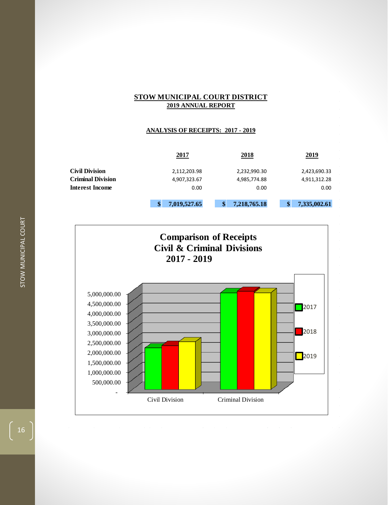| <b>STOW MUNICIPAL COURT DISTRICT</b>     |    |              |    |              |    |              |  |  |  |
|------------------------------------------|----|--------------|----|--------------|----|--------------|--|--|--|
| <b>2019 ANNUAL REPORT</b>                |    |              |    |              |    |              |  |  |  |
|                                          |    |              |    |              |    |              |  |  |  |
|                                          |    |              |    |              |    |              |  |  |  |
| <b>ANALYSIS OF RECEIPTS: 2017 - 2019</b> |    |              |    |              |    |              |  |  |  |
|                                          |    |              |    |              |    |              |  |  |  |
|                                          |    |              |    |              |    |              |  |  |  |
|                                          |    | 2017         |    | 2018         |    | 2019         |  |  |  |
|                                          |    |              |    |              |    |              |  |  |  |
| <b>Civil Division</b>                    |    | 2,112,203.98 |    | 2,232,990.30 |    | 2,423,690.33 |  |  |  |
| <b>Criminal Division</b>                 |    | 4,907,323.67 |    | 4,985,774.88 |    | 4,911,312.28 |  |  |  |
| <b>Interest Income</b>                   |    | 0.00         |    | 0.00         |    | 0.00         |  |  |  |
|                                          |    |              |    |              |    |              |  |  |  |
|                                          | \$ | 7,019,527.65 | \$ | 7,218,765.18 | \$ | 7,335,002.61 |  |  |  |
|                                          |    |              |    |              |    |              |  |  |  |



16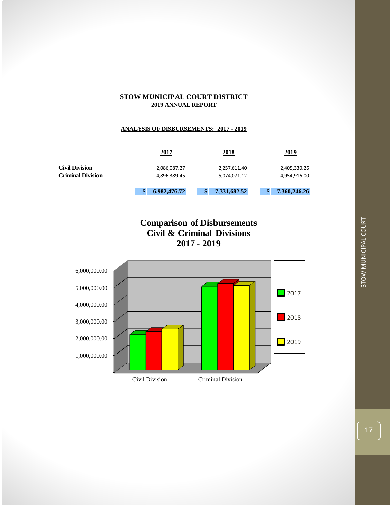